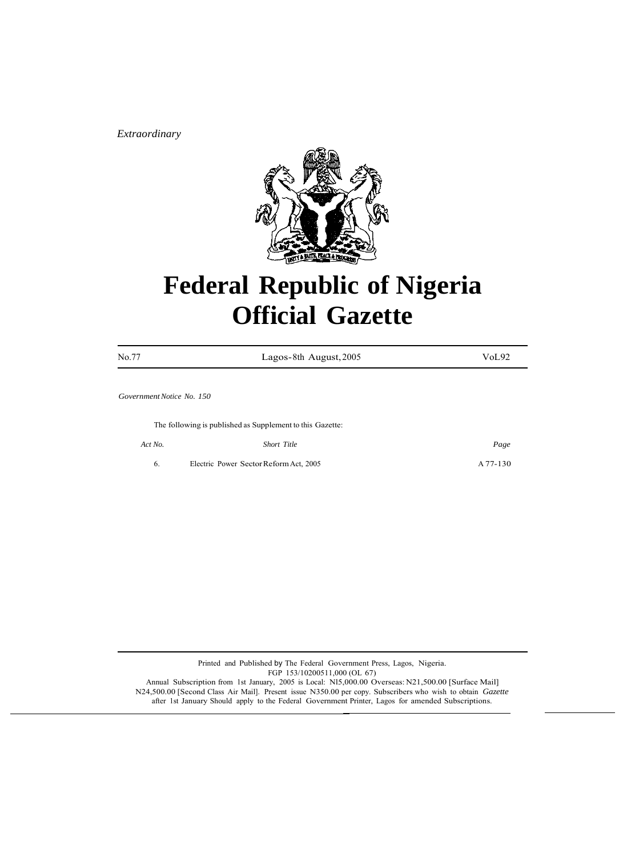*Extraordinary*



# **Federal Republic of Nigeria Official Gazette**

| No.77                     | Lagos-8th August, 2005                                    | VoL92    |
|---------------------------|-----------------------------------------------------------|----------|
| Government Notice No. 150 |                                                           |          |
|                           |                                                           |          |
|                           | The following is published as Supplement to this Gazette: |          |
| Act No.                   | Short Title                                               | Page     |
| 6.                        | Electric Power Sector Reform Act, 2005                    | A 77-130 |

Printed and Published by The Federal Government Press, Lagos, Nigeria. FGP 153/10200511,000 (OL 67) Annual Subscription from 1st January, 2005 is Local: Nl5,000.00 Overseas: N21,500.00 [Surface Mail] N24,500.00 [Second Class Air Mail]. Present issue N350.00 per copy. Subscribers who wish to obtain *Gazette*  after 1st January Should apply to the Federal Government Printer, Lagos for amended Subscriptions.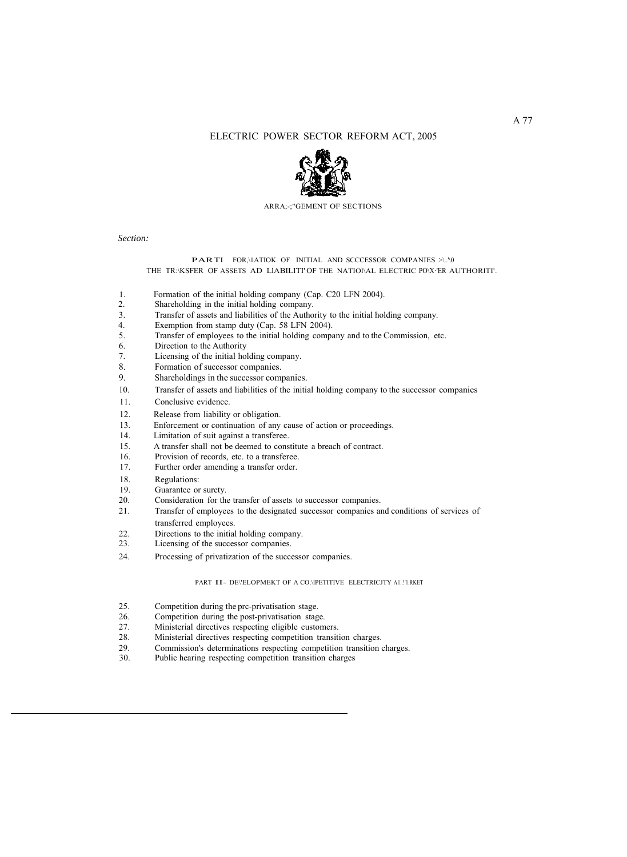# ELECTRIC POWER SECTOR REFORM ACT, 2005



ARRA;-;"GEMENT OF SECTIONS

*Section:*

#### **PARTI** FOR, \1ATIOK OF INITIAL AND SCCCESSOR COMPANIES .>\..'\0 THE TR:\KSFER OF ASSETS AD LIABILITI' OF THE NATIOI\AL ELECTRIC PO\X·'ER AUTHORITI'.

- 1. Formation of the initial holding company (Cap. C20 LFN 2004).
- 2. Shareholding in the initial holding company.
- 3. Transfer of assets and liabilities of the Authority to the initial holding company.
- 4. Exemption from stamp duty (Cap. 58 LFN 2004).
- 5. Transfer of employees to the initial holding company and to the Commission, etc.
- 6. Direction to the Authority
- 7. Licensing of the initial holding company.
- 8. Formation of successor companies.
- 9. Shareholdings in the successor companies.
- I 0. Transfer of assets and liabilities of the initial holding company to the successor companies
- 11. Conclusive evidence.
- 12. Release from liability or obligation.
- 13. Enforcement or continuation of any cause of action or proceedings.<br>14. Limitation of suit against a transferee.
- Limitation of suit against a transferee.
- 15. A transfer shall not be deemed to constitute a breach of contract.
- 16. Provision of records, etc. to a transferee.<br>17. Further order amending a transfer order.
- Further order amending a transfer order.
- 18. Regulations:
- 19. Guarantee or surety.<br>20. Consideration for the
- Consideration for the transfer of assets to successor companies.
- 21. Transfer of employees to the designated successor companies and conditions of services of transferred employees.
- 22. Directions to the initial holding company.<br>23. Licensing of the successor companies.
- Licensing of the successor companies.
- 24. Processing of privatization of the successor companies.

#### PART II- DE\'ELOPMEKT OF A CO.\lPETITIVE ELECTRICJTY A1..!'1.RKET

- 25. Competition during the prc-privatisation stage.
- 26. Competition during the post-privatisation stage.<br>27. Ministerial directives respecting eligible custom
- 
- 27. Ministerial directives respecting eligible customers.<br>28. Ministerial directives respecting competition transiti 28. Ministerial directives respecting competition transition charges.<br>29 Commission's determinations respecting competition transition
- 29. Commission's determinations respecting competition transition charges.<br>30. Public hearing respecting competition transition charges
- Public hearing respecting competition transition charges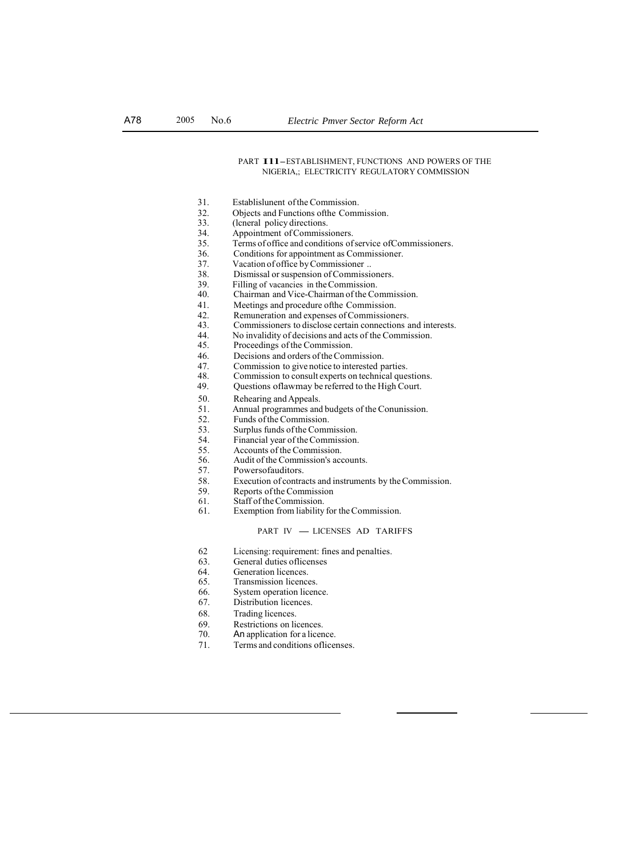#### PART I11-ESTABLISHMENT, FUNCTIONS AND POWERS OF THE NIGERIA,; ELECTRICITY REGULATORY COMMISSION

- 31. Establislunent of the Commission.
- 32. Objects and Functions of the Commission.<br>33. (Icneral policy directions.
- 33. (leneral policy directions.<br>34. Appointment of Commiss
- 34. Appointment of Commissioners.<br>35. Terms of office and conditions of
- 35. Terms of office and conditions of service of Commissioners.<br>36. Conditions for appointment as Commissioner.
- 36. Conditions for appointment as Commissioner.<br>37. Vacation of office by Commissioner.
- 37. Vacation of office by Commissioner ..<br>38. Dismissal or suspension of Commission
- Dismissal or suspension of Commissioners.
- 39. Filling of vacancies in the Commission.<br>40. Chairman and Vice-Chairman of the Co
- 40. Chairman and Vice-Chairman of the Commission.<br>41. Meetings and procedure of the Commission.
- Meetings and procedure ofthe Commission.
- 42. Remuneration and expenses of Commissioners.<br>43. Commissioners to disclose certain connections a
- 43. Commissioners to disclose certain connections and interests.<br>44. No invalidity of decisions and acts of the Commission.
- 44. No invalidity of decisions and acts of the Commission.<br>45. Proceedings of the Commission.
- 45. Proceedings of the Commission.<br>46. Decisions and orders of the Com-
- 46. Decisions and orders of the Commission.<br>47. Commission to give notice to interested p
- 47. Commission to give notice to interested parties.<br>48. Commission to consult experts on technical ques
- 48. Commission to consult experts on technical questions.<br>49. Ouestions of law may be referred to the High Court.
	- Questions oflawmay be referred to the High Court.
- 50. Rehearing and Appeals.<br>51. Annual programmes and
	- Annual programmes and budgets of the Conunission.
- 52. Funds of the Commission.<br>53. Surplus funds of the Comn
- 53. Surplus funds of the Commission.<br>54. Financial year of the Commission.
- 54. Financial year of the Commission.<br>55. Accounts of the Commission.
- 55. Accounts of the Commission.<br>56. Audit of the Commission's acc
- Audit of the Commission's accounts.
- 57. Powersofauditors.<br>58. Execution of contra
- Execution of contracts and instruments by the Commission.
- 59. Reports of the Commission
	-
- 61. Staff of the Commission.<br>61. Exemption from liability 61. Exemption from liability for the Commission.<br>PART IV — LICENSES AD TARIFFS

- 62 Licensing: requirement: fines and penalties.
- 63. General duties oflicenses
- 64. Generation licences.
- 65. Transmission licences.<br>66. System operation licen
- System operation licence.
- 67. Distribution licences.
- 68. Trading licences.<br>69. Restrictions on live
- 
- 69. Restrictions on licences.<br>70. An application for a licen An application for a licence.
- 71. Terms and conditions oflicenses.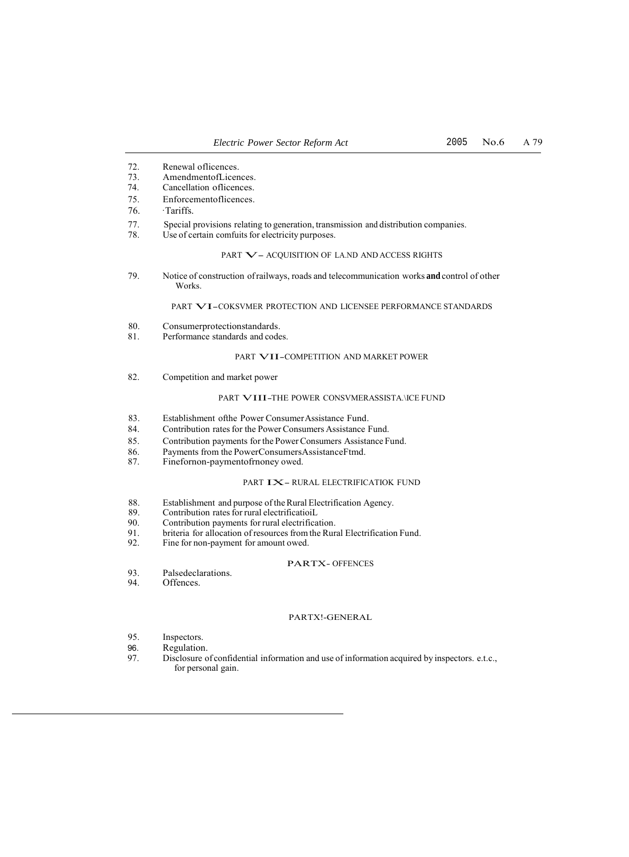- 72. Renewal oflicences.
- 73. AmendmentofLicences.<br>74. Cancellation officences.
- Cancellation oflicences.
- 75. Enforcementoflicences.
- 76. ·Tariffs.
- 77. Special provisions relating to generation, transmission and distribution companies.
- Use of certain comfuits for electricity purposes.

#### PART  $\mathbf{V}$  – ACQUISITION OF LA.ND AND ACCESS RIGHTS

79. Notice of construction of railways, roads and telecommunication works **and** control of other Works.

#### PART VI-COKSVMER PROTECTION AND LICENSEE PERFORMANCE STANDARDS

- 80. Consumerprotectionstandards.
- 81. Performance standards and codes.

#### PART VII-COMPETITION AND MARKET POWER

82. Competition and market power

### PART VIII-THE POWER CONSVMERASSISTA.\ICE FUND

- 83. Establishment of the Power Consumer Assistance Fund.<br>84. Contribution rates for the Power Consumers Assistance I
- Contribution rates for the Power Consumers Assistance Fund.
- 85. Contribution payments for the Power Consumers Assistance Fund.<br>86. Payments from the Power Consumers Assistance Fund.<br>87. Fineformon-payment of fronce y owed.
- Payments from the PowerConsumersAssistanceFtmd.
- Finefornon-paymentofrnoney owed.

#### PART  $\mathbf{IX}-$  RURAL ELECTRIFICATIOK FUND

- 88. Establishment and purpose of the Rural Electrification Agency.<br>89. Contribution rates for rural electrificatioiL
- 89. Contribution rates for rural electrificatioiL<br>90. Contribution payments for rural electrifica
- 90. Contribution payments for rural electrification.<br>91. briteria for allocation of resources from the Rur
- 91. briteria for allocation of resources from the Rural Electrification Fund.<br>92. Fine for non-payment for amount owed.
- Fine for non-payment for amount owed.

#### PARTX- OFFENCES

- 93. Palsedeclarations.<br>94. Offences.
- Offences.

#### PARTX!-GENERAL

- 95. Inspectors.<br>96. Regulation
- 96. Regulation.<br>97. Disclosure of
- Disclosure of confidential information and use of information acquired by inspectors. e.t.c., for personal gain.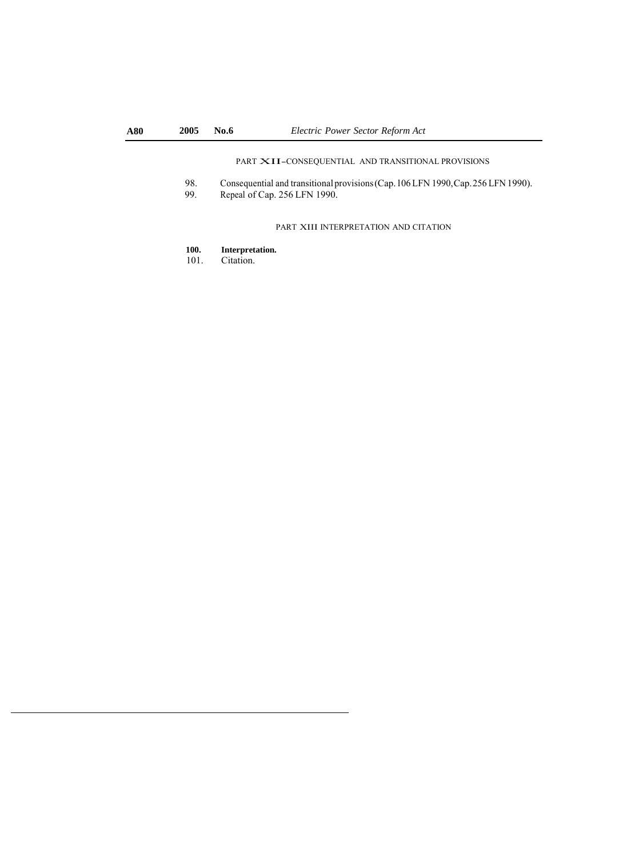# PART XII-CONSEQUENTIAL AND TRANSITIONAL PROVISIONS

- 98. Consequential and transitional provisions (Cap. 106 LFN 1990, Cap. 256 LFN 1990).<br>99. Repeal of Cap. 256 LFN 1990.
- Repeal of Cap. 256 LFN 1990.

# PART XIII INTERPRETATION AND CITATION

- 100. **Interpretation.**<br>101. Citation.
- Citation.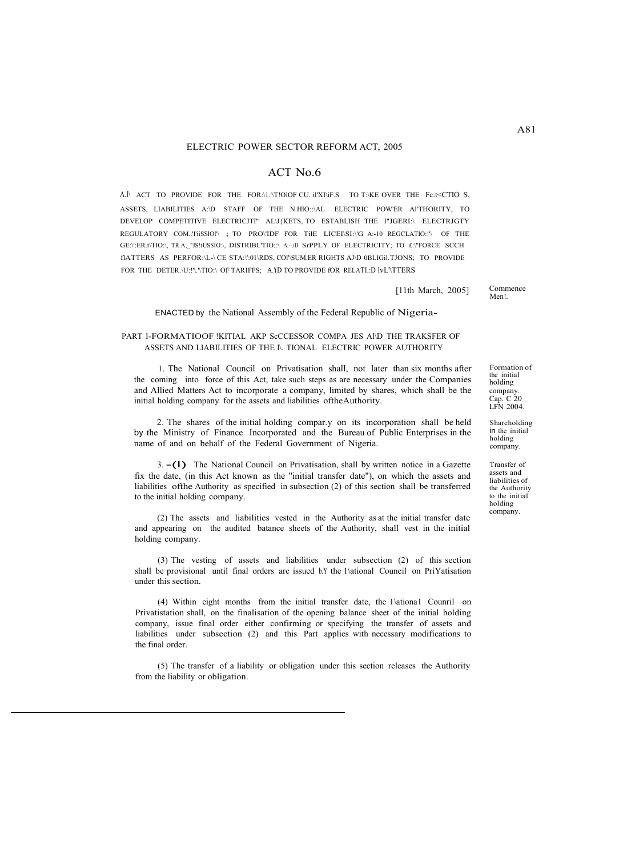## ACT No.6

A.l\ ACT TO PROVIDE FOR THE FOR:\1.'\T!OlOF CU. il'XI\iF.S TO T:\KE OVER THE Fc:t<CTIO S, ASSETS, LIABILITIES A:\D STAFF OF THE N.HIO::\AL ELECTRIC POW'ER Al'THORITY, TO DEVELOP COMPETITIVE ELECTRICJTI" ALV{KETS, TO ESTABLISH THE l"JGERI:\ ELECTRJGTY REGULATORY COM..'TiiSSlOl'\ ; TO PRO\'IDF FOR TilE LICEI\SI:\'G A:-10 REGCLATIO:!'\ OF THE GE:\':ER.t\TIO:\, TR.A,\_"JS!tUSSIO:\, DISTRIBL'TIO::\ A:--.iD SrPPLY OF ELECTRICITY; TO £:\"FORCE SCCH flATTERS AS PERFOR:\L-\ CE STA:\':01\RDS, COl'\SUM.ER RIGHTS AJ\D 0BLIGil.TJONS; TO PROVIDE FOR THE DETER.\U:!'\.'\TIO:\ OF TARIFFS; A.'(D TO PROVIDE fOR RELATI.:D lvL'\TTERS

[11th March, 2005]

Commence Men!.

## ENACTED by the National Assembly of the Federal Republic of Nigeria-

#### PART 1-FORMATIOOF !KITIAL AKP ScCCESSOR COMPA JES Al\D THE TRAKSFER OF ASSETS AND LIABILITIES OF THE l\. TIONAL ELECTRIC POWER AUTHORITY

1. The National Council on Privatisation shall, not later than six months after the coming into force of this Act, take such steps as are necessary under the Companies and Allied Matters Act to incorporate a company, limited by shares, which shall be the initial holding company for the assets and liabilities oftheAuthority.

2. The shares of the initial holding compar.y on its incorporation shall be held by the Ministry of Finance Incorporated and the Bureau of Public Enterprises in the name of and on behalf of the Federal Government of Nigeria.

3. -(l) The National Council on Privatisation, shall by written notice in a Gazette fix the date, (in this Act known as the "initial transfer date"), on which the assets and liabilities ofthe Authority as specified in subsection (2) of this section shall be transferred to the initial holding company.

(2) The assets and liabilities vested in the Authority as at the initial transfer date and appearing on the audited batance sheets of the Authority, shall vest in the initial holding company.

(3) The vesting of assets and liabilities under subsection (2) of this section shall be provisional until final orders arc issued b.Y the 1\ational Council on PriYatisation under this section.

(4) Within eight months from the initial transfer date, the 1\ationa1 Counril on Privatistation shall, on the finalisation of the opening balance sheet of the initial holding company, issue final order either confirming or specifying the transfer of assets and liabilities under subsection (2) and this Part applies with necessary modifications to the final order.

(5) The transfer of a liability or obligation under this section releases the Authority from the liability or obligation.

Formation of the initial holding company. Cap. C 20 LFN 2004.

Shareholding in the initial holding company.

Transfer of assets and liabilities of the Authority to the initial holding company.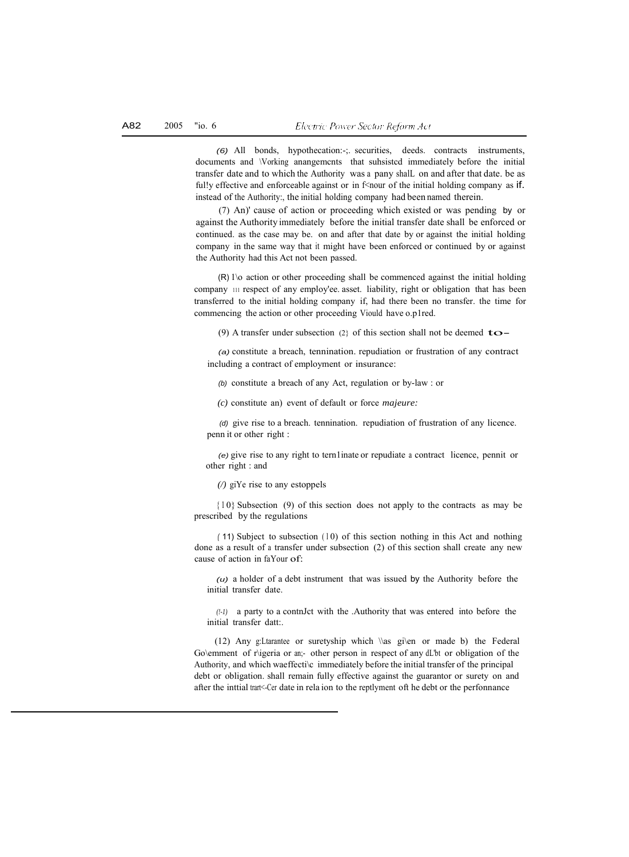*(6)* All bonds, hypothecation:-;. securities, deeds. contracts instruments, documents and \Vorking anangemcnts that suhsistcd immediately before the initial transfer date and to which the Authority was a pany shalL on and after that date. be as ful!y effective and enforceable against or in  $f$ <n our of the initial holding company as if. instead of the Authority:, the initial holding company had been named therein.

(7) An)' cause of action or proceeding which existed or was pending by or against the Authority immediately before the initial transfer date shall be enforced or continued. as the case may be. on and after that date by or against the initial holding company in the same way that it might have been enforced or continued by or against the Authority had this Act not been passed.

(R) 1\o action or other proceeding shall be commenced against the initial holding company 111 respect of any employ'ee. asset. liability, right or obligation that has been transferred to the initial holding company if, had there been no transfer. the time for commencing the action or other proceeding Viould have o.p1red.

(9) A transfer under subsection (2) of this section shall not be deemed  $\text{to}-$ 

*(a)* constitute a breach, tennination. repudiation or frustration of any contract including a contract of employment or insurance:

*(b)* constitute a breach of any Act, regulation or by-law : or

*(c)* constitute an) event of default or force *majeure:*

*(d)* give rise to a breach. tennination. repudiation of frustration of any licence. penn it or other right :

*(e)* give rise to any right to tern1inate or repudiate a contract licence, pennit or other right : and

*(/)* giYe rise to any estoppels

 ${10}$  Subsection (9) of this section does not apply to the contracts as may be prescribed by the regulations

(11) Subject to subsection (10) of this section nothing in this Act and nothing done as a result of a transfer under subsection (2) of this section shall create any new cause of action in faYour of:

*(u)* a holder of a debt instrument that was issued by the Authority before the initial transfer date.

*(!-1)* a party to a contnJct with the .Authority that was entered into before the initial transfer datt:.

(12) Any g:Ltarantee or suretyship which \\as gi\en or made b) the Federal Go\emment of r\igeria or an;- other person in respect of any dL'bt or obligation of the Authority, and which waeffecti\c immediately before the initial transfer of the principal debt or obligation. shall remain fully effective against the guarantor or surety on and after the inttial trart<-Cer date in rela ion to the reptlyment oft he debt or the perfonnance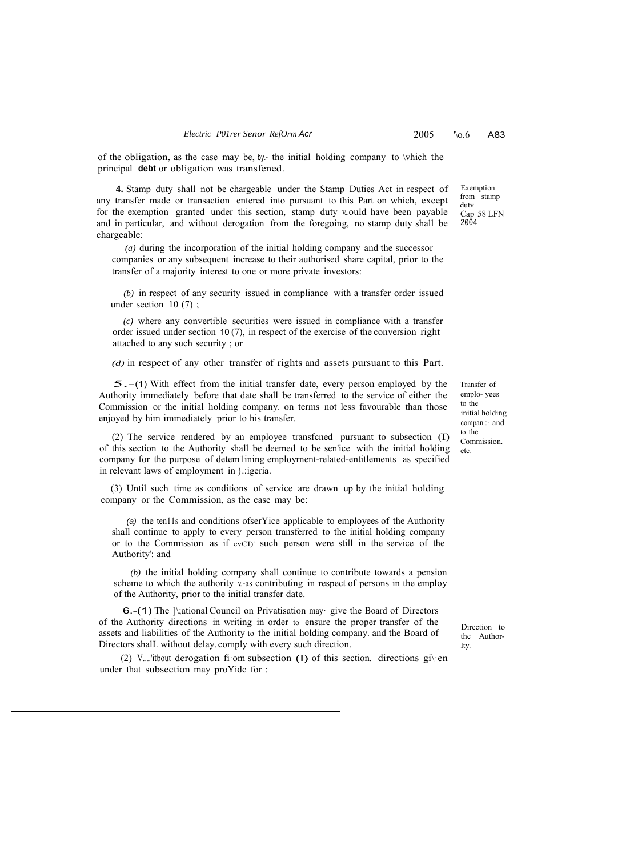Exemption from stamp dutv Cap 58 LFN 2004

of the obligation, as the case may be, by- the initial holding company to  $\infty$  the the principal **debt** or obligation was transfened.

**4.** Stamp duty shall not be chargeable under the Stamp Duties Act in respect of any transfer made or transaction entered into pursuant to this Part on which, except for the exemption granted under this section, stamp duty v.ould have been payable and in particular, and without derogation from the foregoing, no stamp duty shall be chargeable:

*(a)* during the incorporation of the initial holding company and the successor companies or any subsequent increase to their authorised share capital, prior to the transfer of a majority interest to one or more private investors:

*(b)* in respect of any security issued in compliance with a transfer order issued under section 10 (7) ;

*(c)* where any convertible securities were issued in compliance with a transfer order issued under section 10 (7), in respect of the exercise of the conversion right attached to any such security ; or

*(d)* in respect of any other transfer of rights and assets pursuant to this Part.

5.-(1) With effect from the initial transfer date, every person employed by the Authority immediately before that date shall be transferred to the service of either the Commission or the initial holding company. on terms not less favourable than those enjoyed by him immediately prior to his transfer.

(2) The service rendered by an employee transfcned pursuant to subsection (I) of this section to the Authority shall be deemed to be sen'ice with the initial holding company for the purpose of detem1ining employrnent-related-entitlements as specified in relevant laws of employment in }.:igeria.

(3) Until such time as conditions of service are drawn up by the initial holding company or the Commission, as the case may be:

*(a)* the ten11s and conditions ofserYice applicable to employees of the Authority shall continue to apply to every person transferred to the initial holding company or to the Commission as if evCI)' such person were still in the service of the Authority': and

*(b)* the initial holding company shall continue to contribute towards a pension scheme to which the authority v-as contributing in respect of persons in the employ of the Authority, prior to the initial transfer date.

6.-(1) The ]\;ational Council on Privatisation may· give the Board of Directors of the Authority directions in writing in order to ensure the proper transfer of the assets and liabilities of the Authority to the initial holding company. and the Board of Directors shalL without delay. comply with every such direction.

(2) V....'itbout derogation fiom subsection (1) of this section. directions given under that subsection may proYidc for :

Transfer of emplo- yees to the initial holding compan.:· and to the Commission. etc.

Direction to the Author-Ity.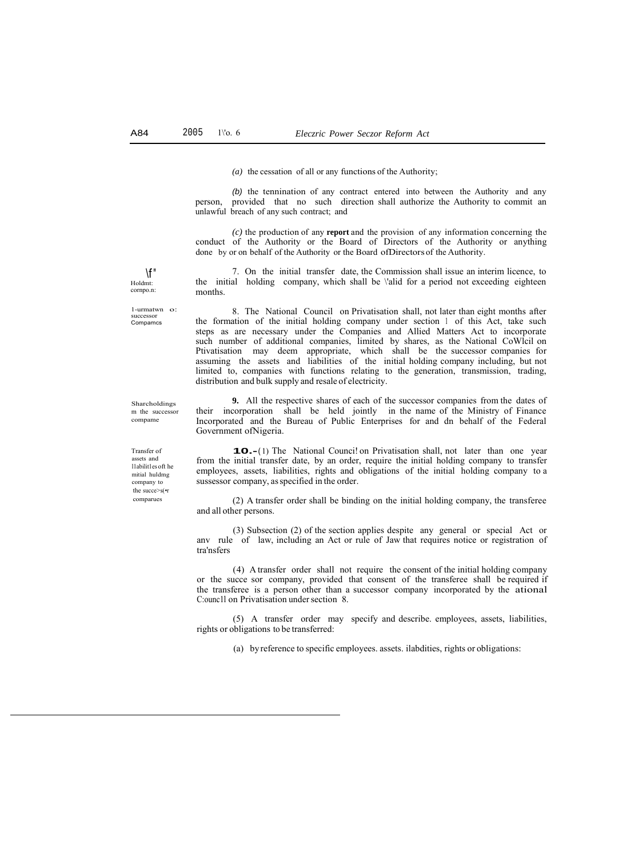*(a)* the cessation of all or any functions of the Authority;

*(b)* the tennination of any contract entered into between the Authority and any person, provided that no such direction shall authorize the Authority to commit an unlawful breach of any such contract; and

*(c)* the production of any **report** and the provision of any information concerning the conduct of the Authority or the Board of Directors of the Authority or anything done by or on behalf of the Authority or the Board ofDirectors of the Authority.

7. On the initial transfer date, the Commission shall issue an interim licence, to the initial holding company, which shall be \'alid for a period not exceeding eighteen months.

8. The National Council on Privatisation shall, not later than eight months after the formation of the initial holding company under section 1 of this Act, take such steps as are necessary under the Companies and Allied Matters Act to incorporate such number of additional companies, limited by shares, as the National CoWlcil on Ptivatisation may deem appropriate, which shall be the successor companies for assuming the assets and liabilities of the initial holding company including, but not limited to, companies with functions relating to the generation, transmission, trading, distribution and bulk supply and resale of electricity.

**9.** All the respective shares of each of the successor companies from the dates of their incorporation shall be held jointly in the name of the Ministry of Finance Incorporated and the Bureau of Public Enterprises for and dn behalf of the Federal Government ofNigeria.

**10.**-(1) The National Counci! on Privatisation shall, not later than one year from the initial transfer date, by an order, require the initial holding company to transfer employees, assets, liabilities, rights and obligations of the initial holding company to a sussessor company, as specified in the order.

(2) A transfer order shall be binding on the initial holding company, the transferee and all other persons.

(3) Subsection (2) of the section applies despite any general or special Act or anv rule of law, including an Act or rule of Jaw that requires notice or registration of tra'nsfers

(4) A transfer order shall not require the consent of the initial holding company or the succe sor company, provided that consent of the transferee shall be required if the transferee is a person other than a successor company incorporated by the ational C:ounc1l on Privatisation under section 8.

(5) A transfer order may specify and describe. employees, assets, liabilities, rights or obligations to be transferred:

(a) by reference to specific employees. assets. ilabdities, rights or obligations:

 $\mathcal{F}$ " Holdmt: cornpo.n:

1-urmatwn o: successor Compamcs

Sharcholdings m the successor compame

Transfer of assets and l1abilit1es oft he mitial huldmg company to the succe>s(•r comparues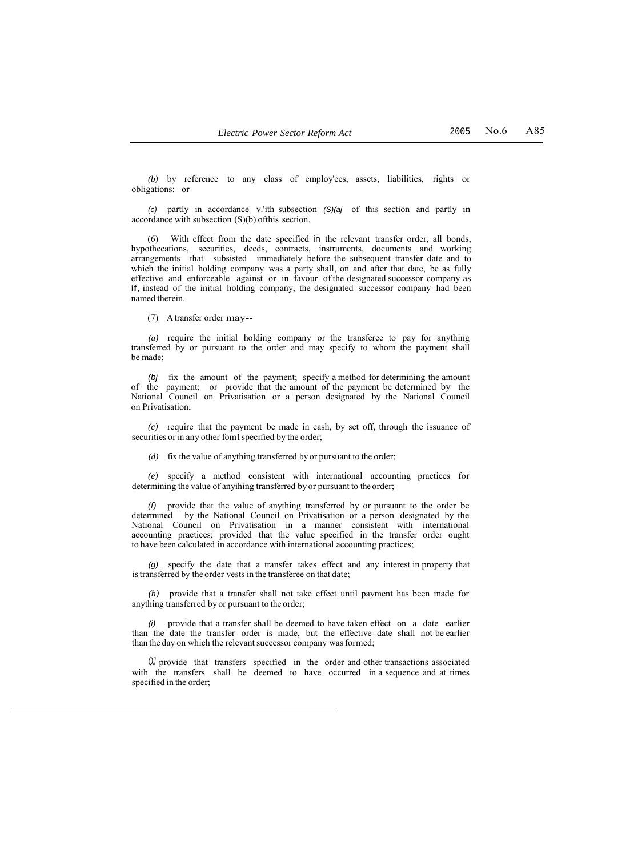*(b)* by reference to any class of employ'ees, assets, liabilities, rights or obligations: or

*(c)* partly in accordance v.'ith subsection *(S)(aj* of this section and partly in accordance with subsection (S)(b) ofthis section.

(6) With effect from the date specified in the relevant transfer order, all bonds, hypothecations, securities, deeds, contracts, instruments, documents and working arrangements that subsisted immediately before the subsequent transfer date and to which the initial holding company was a party shall, on and after that date, be as fully effective and enforceable against or in favour of the designated successor company as if, instead of the initial holding company, the designated successor company had been named therein.

(7) A transfer order may--

*(a)* require the initial holding company or the transferee to pay for anything transferred by or pursuant to the order and may specify to whom the payment shall be made;

*(bj* fix the amount of the payment; specify a method for determining the amount of the payment; or provide that the amount of the payment be determined by the National Council on Privatisation or a person designated by the National Council on Privatisation;

*(c)* require that the payment be made in cash, by set off, through the issuance of securities or in any other fom1 specified by the order;

*(d)* fix the value of anything transferred by or pursuant to the order;

*(e)* specify a method consistent with international accounting practices for determining the value of anyihing transferred by or pursuant to the order;

*(f)* provide that the value of anything transferred by or pursuant to the order be determined by the National Council on Privatisation or a person .designated by the National Council on Privatisation in a manner consistent with international accounting practices; provided that the value specified in the transfer order ought to have been calculated in accordance with international accounting practices;

*(g)* specify the date that a transfer takes effect and any interest in property that is transferred by the order vests in the transferee on that date;

*(h)* provide that a transfer shall not take effect until payment has been made for anything transferred by or pursuant to the order;

*(i)* provide that a transfer shall be deemed to have taken effect on a date earlier than the date the transfer order is made, but the effective date shall not be earlier than the day on which the relevant successor company was formed;

*OJ* provide that transfers specified in the order and other transactions associated with the transfers shall be deemed to have occurred in a sequence and at times specified in the order;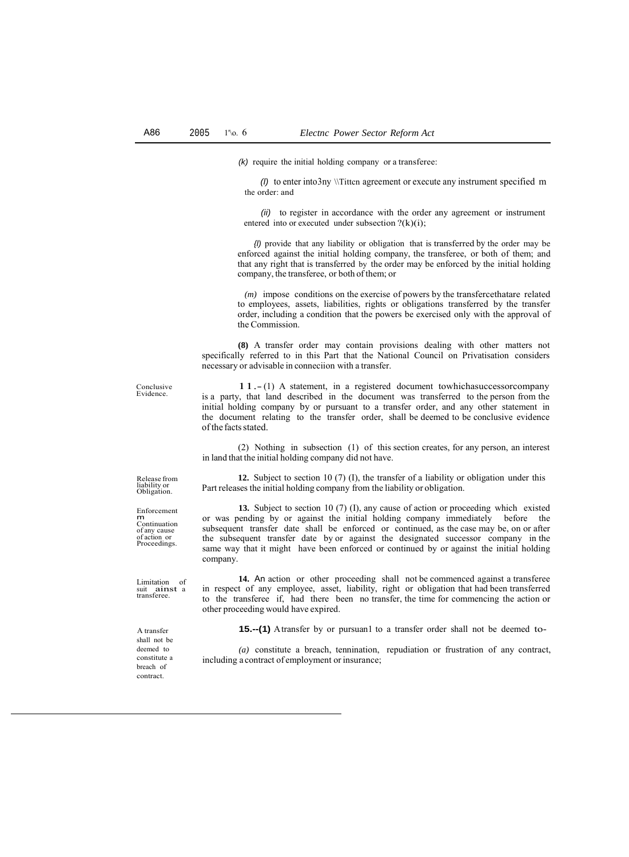*(k)* require the initial holding company or a transferee:

*(l)* to enter into3ny \\Tittcn agreement or execute any instrument specified m the order: and

*(ii)* to register in accordance with the order any agreement or instrument entered into or executed under subsection  $?(k)(i);$ 

*{l)* provide that any liability or obligation that is transferred by the order may be enforced against the initial holding company, the transferee, or both of them; and that any right that is transferred by the order may be enforced by the initial holding company, the transferee, or both of them; or

*(m)* impose conditions on the exercise of powers by the transfercethatare related to employees, assets, liabilities, rights or obligations transferred by the transfer order, including a condition that the powers be exercised only with the approval of the Commission.

**(8)** A transfer order may contain provisions dealing with other matters not specifically referred to in this Part that the National Council on Privatisation considers necessary or advisable in conneciion with a transfer.

Conclusive Evidence.

11.- (1) A statement, in a registered document towhichasuccessorcompany is a party, that land described in the document was transferred to the person from the initial holding company by or pursuant to a transfer order, and any other statement in the document relating to the transfer order, shall be deemed to be conclusive evidence of the facts stated.

(2) Nothing in subsection (1) of this section creates, for any person, an interest in land that the initial holding company did not have.

Part releases the initial holding company from the liability or obligation.

**12.** Subject to section 10 (7) (I), the transfer of a liability or obligation under this

Release from liability or Obligation.

Enforcement m Continuation of any cause of action or Proceedings.

Limitation of suit ainst <sup>a</sup> transferee.

**13.** Subject to section 10 (7) (I), any cause of action or proceeding which existed or was pending by or against the initial holding company immediately before the subsequent transfer date shall be enforced or continued, as the case may be, on or after the subsequent transfer date by or against the designated successor company in the same way that it might have been enforced or continued by or against the initial holding company.

**14.** An action or other proceeding shall not be commenced against a transferee in respect of any employee, asset, liability, right or obligation that had been transferred to the transferee if, had there been no transfer, the time for commencing the action or other proceeding would have expired.

**15.--(1)** A transfer by or pursuan1 to a transfer order shall not be deemed to-

*(a)* constitute a breach, tennination, repudiation or frustration of any contract, including a contract of employment or insurance;

A transfer shall not be deemed to constitute a breach of contract.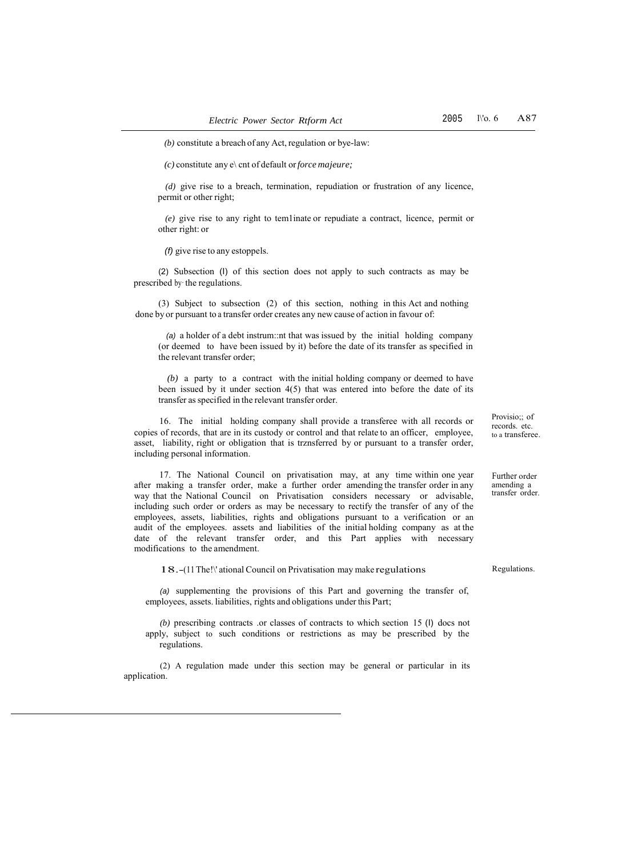*(c)* constitute any e\ cnt of default or*force majeure;*

*(d)* give rise to a breach, termination, repudiation or frustration of any licence, permit or other right;

*(e)* give rise to any right to tem1inate or repudiate a contract, licence, permit or other right: or

*(f)* give rise to any estoppels.

(2) Subsection (I) of this section does not apply to such contracts as may be prescribed by· the regulations.

(3) Subject to subsection (2) of this section, nothing in this Act and nothing done by or pursuant to a transfer order creates any new cause of action in favour of:

*(a)* a holder of a debt instrum::nt that was issued by the initial holding company (or deemed to have been issued by it) before the date of its transfer as specified in the relevant transfer order;

*(b)* a party to a contract with the initial holding company or deemed to have been issued by it under section 4(5) that was entered into before the date of its transfer as specified in the relevant transfer order.

16. The initial holding company shall provide a transferee with all records or copies of records, that are in its custody or control and that relate to an officer, employee, asset, liability, right or obligation that is trznsferred by or pursuant to a transfer order, including personal information.

17. The National Council on privatisation may, at any time within one year after making a transfer order, make a further order amending the transfer order in any way that the National Council on Privatisation considers necessary or advisable, including such order or orders as may be necessary to rectify the transfer of any of the employees, assets, liabilities, rights and obligations pursuant to a verification or an audit of the employees. assets and liabilities of the initial holding company as at the date of the relevant transfer order, and this Part applies with necessary modifications to the amendment.

18.-(11 The!\' ational Council on Privatisation may make regulations

*(a)* supplementing the provisions of this Part and governing the transfer of, employees, assets. liabilities, rights and obligations under this Part;

*(b)* prescribing contracts .or classes of contracts to which section 15 (I) docs not apply, subject to such conditions or restrictions as may be prescribed by the regulations.

(2) A regulation made under this section may be general or particular in its application.

Provisio;; of records. etc. to a transferee.

Further order amending a transfer order.

Regulations.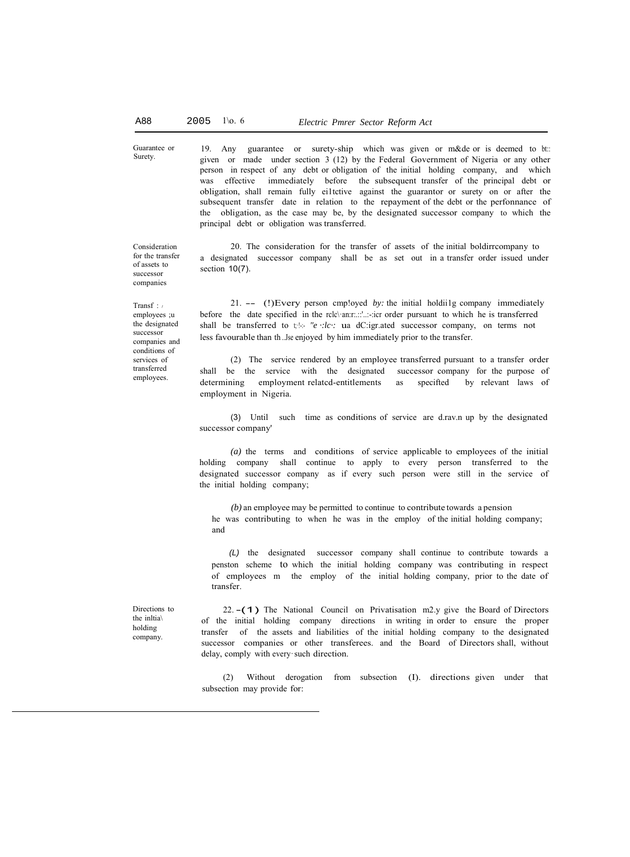19. Any guarantee or surety-ship which was given or m&de or is deemed to bt:: given or made under section 3 (12) by the Federal Government of Nigeria or any other person in respect of any debt or obligation of the initial holding company, and which was effective immediately before the subsequent transfer of the principal debt or obligation, shall remain fully ei1tctive against the guarantor or surety on or after the subsequent transfer date in relation to the repayment of the debt or the perfonnance of the obligation, as the case may be, by the designated successor company to which the principal debt or obligation was transferred.

20. The consideration for the transfer of assets of the initial boldirrcompany to a designated successor company shall be as set out in a transfer order issued under section 10(7).

21. -- (!)Every person cmp!oyed *by:* the initial holdii1g company immediately before the date specified in the rclc\·an:r:.::'..:-:icr order pursuant to which he is transferred shall be transferred to  $t$ : *"e ::lc :* ua dC:igr.ated successor company, on terms not less favourable than th ..Jse enjoyed by him immediately prior to the transfer.

(2) The service rendered by an employee transferred pursuant to a transfer order shall be the service with the designated successor company for the purpose of determining employment relatcd-entitlements as specifted by relevant laws of employment in Nigeria.

(3) Until such time as conditions of service are d.rav.n up by the designated successor company'

*(a)* the terms and conditions of service applicable to employees of the initial holding company shall continue to apply to every person transferred to the designated successor company as if every such person were still in the service of the initial holding company;

*(b)* an employee may be permitted to continue to contribute towards a pension he was contributing to when he was in the employ of the initial holding company; and

*(L)* the designated successor company shall continue to contribute towards a penston scheme to which the initial holding company was contributing in respect of employees m the employ of the initial holding company, prior to the date of transfer.

Directions to the inltia\ holding company.

22. -(1) The National Council on Privatisation m2.y give the Board of Directors of the initial holding company directions in writing in order to ensure the proper transfer of the assets and liabilities of the initial holding company to the designated successor companies or other transferees. and the Board of Directors shall, without delay, comply with every· such direction.

(2) Without derogation from subsection (I). directions given under that subsection may provide for:

Guarantee or Surety.

Consideration for the transfer of assets to successor companies

Transf : *<sup>r</sup>* employees ;u the designated successor companies and conditions of services of transferred employees.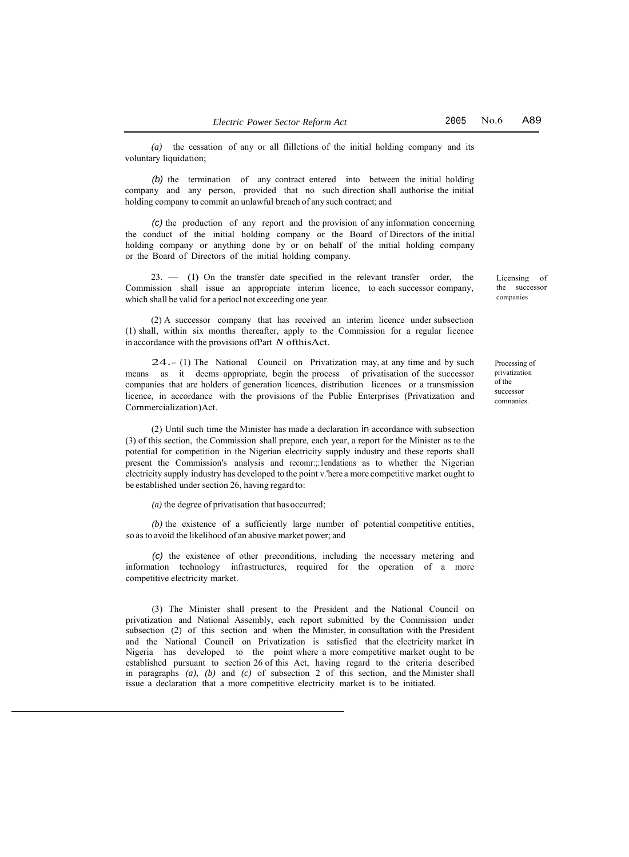*(a)* the cessation of any or all flillctions of the initial holding company and its voluntary liquidation;

*(b)* the termination of any contract entered into between the initial holding company and any person, provided that no such direction shall authorise the initial holding company to commit an unlawful breach of any such contract; and

*(c)* the production of any report and the provision of any information concerning the conduct of the initial holding company or the Board of Directors of the initial holding company or anything done by or on behalf of the initial holding company or the Board of Directors of the initial holding company.

23. - (1) On the transfer date specified in the relevant transfer order, the Commission shall issue an appropriate interim licence, to each successor company, which shall be valid for a periocl not exceeding one year.

(2) A successor company that has received an interim licence under subsection (1) shall, within six months thereafter, apply to the Commission for a regular licence in accordance with the provisions ofPart *N* ofthisAct.

24.- (1) The National Council on Privatization may, at any time and by such means as it deems appropriate, begin the process of privatisation of the successor companies that are holders of generation licences, distribution licences or a transmission licence, in accordance with the provisions of the Public Enterprises (Privatization and Cornmercialization)Act.

(2) Until such time the Minister has made a declaration in accordance with subsection (3) of this section, the Commission shall prepare, each year, a report for the Minister as to the potential for competition in the Nigerian electricity supply industry and these reports shall present the Commission's analysis and recomr:;:1endations as to whether the Nigerian electricity supply industry has developed to the point v.'here a more competitive market ought to be established under section 26, having regard to:

*(a)* the degree of privatisation that has occurred;

(b) the existence of a sufficiently large number of potential competitive entities, so as to avoid the likelihood of an abusive market power; and

*(c)* the existence of other preconditions, including the necessary metering and information technology infrastructures, required for the operation of a more competitive electricity market.

(3) The Minister shall present to the President and the National Council on privatization and National Assembly, each report submitted by the Commission under subsection (2) of this section and when the Minister, in consultation with the President and the National Council on Privatization is satisfied that the electricity market in Nigeria has developed to the point where a more competitive market ought to be established pursuant to section 26 of this Act, having regard to the criteria described in paragraphs *(a), (b)* and *(c)* of subsection 2 of this section, and the Minister shall issue a declaration that a more competitive electricity market is to be initiated.

Licensing of the successor companies

Processing of privatization of the successor comnanies.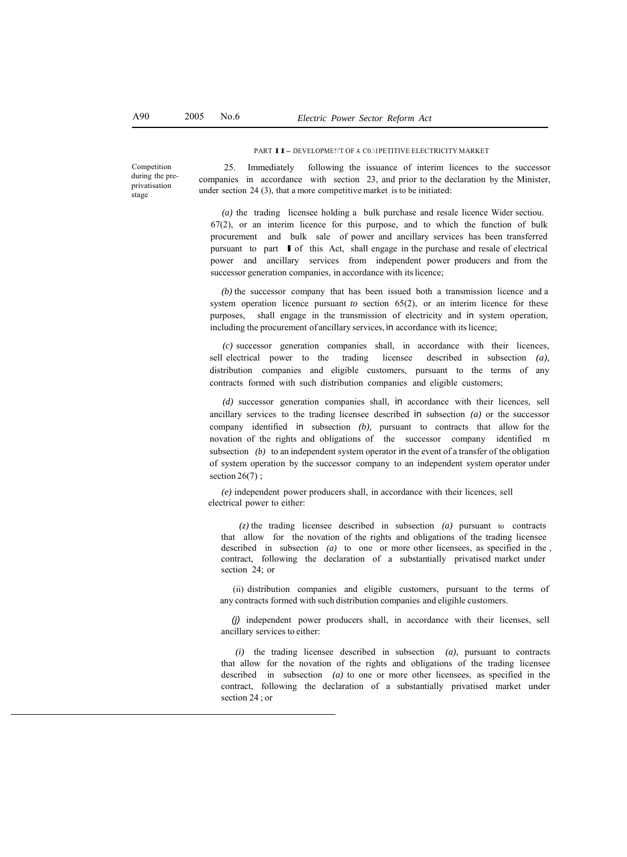#### PART II- DEVELOPME!\'T OF *A.* C0.\1PETITIVE ELECTRICITY MARKET

Competition during the preprivatisation stage

25. Immediately following the issuance of interim licences to the successor companies in accordance with section 23, and prior to the declaration by the Minister, under section 24 (3), that a more competitive market is to be initiated:

*(a)* the trading licensee holding a bulk purchase and resale licence Wider sectiou. 67(2), or an interim licence for this purpose, and to which the function of bulk procurement and bulk sale of power and ancillary services has been transferred pursuant to part I of this Act, shall engage in the purchase and resale of electrical power and ancillary services from independent power producers and from the successor generation companies, in accordance with its licence;

*(b)* the successor company that has been issued both a transmission licence and a system operation licence pursuant *to* section 65(2), or an interim licence for these purposes, shall engage in the transmission of electricity and in system operation, including the procurement of ancillary services, in accordance with its licence;

*(c)* successor generation companies shall, in accordance with their licences, sell electrical power to the trading licensee described in subsection *(a),*  distribution companies and eligible customers, pursuant to the terms of any contracts formed with such distribution companies and eligible customers;

*(d)* successor generation companies shall, in accordance with their licences, sell ancillary services to the trading licensee described in subsection *(a)* or the successor company identified in subsection *(b),* pursuant to contracts that allow for the novation of the rights and obligations of the successor company identified m subsection *(b)* to an independent system operator in the event of a transfer of the obligation of system operation by the successor company to an independent system operator under section 26(7);

*(e)* independent power producers shall, in accordance with their licences, sell electrical power to either:

*(z)* the trading licensee described in subsection *(a)* pursuant to contracts that allow for the novation of the rights and obligations of the trading licensee described in subsection *(a)* to one or more other licensees, as specified in the , contract, following the declaration of a substantially privatised market under section 24; or

(ii) distribution companies and eligible customers, pursuant to the terms of any contracts formed with such distribution companies and eligihle customers.

*(j)* independent power producers shall, in accordance with their licenses, sell ancillary services to either:

*(i)* the trading licensee described in subsection *(a),* pursuant to contracts that allow for the novation of the rights and obligations of the trading licensee described in subsection *(a)* to one or more other licensees, as specified in the contract, following the declaration of a substantially privatised market under section 24 ; or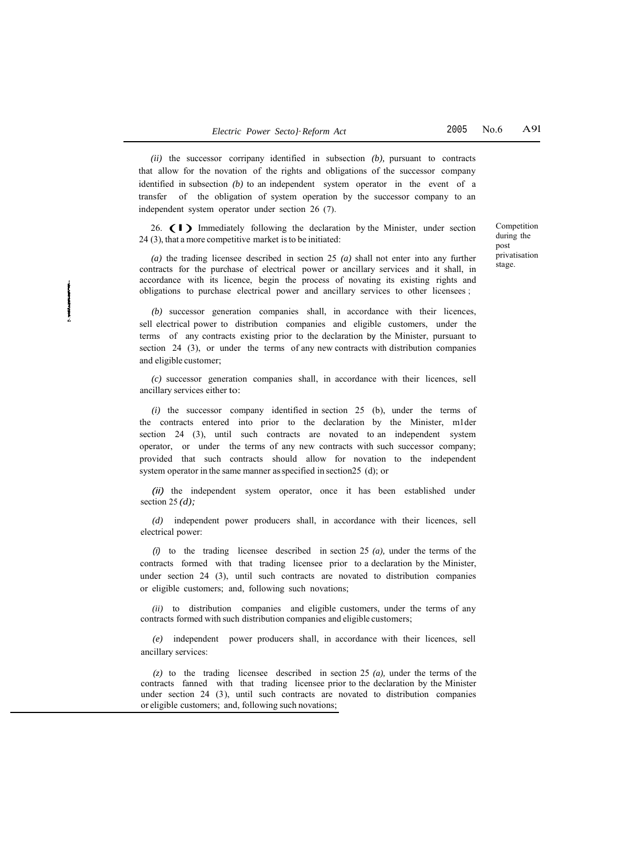*(ii)* the successor corripany identified in subsection *(b),* pursuant to contracts that allow for the novation of the rights and obligations of the successor company identified in subsection *(b)* to an independent system operator in the event of a transfer of the obligation of system operation by the successor company to an independent system operator under section 26 (7).

26.  $\left( \begin{array}{c} \bullet \\ \bullet \end{array} \right)$  Immediately following the declaration by the Minister, under section 24 (3), that a more competitive market isto be initiated:

*(a)* the trading licensee described in section 25 *(a)* shall not enter into any further contracts for the purchase of electrical power or ancillary services and it shall, in accordance with its licence, begin the process of novating its existing rights and obligations to purchase electrical power and ancillary services to other licensees ;

*(b)* successor generation companies shall, in accordance with their licences, sell electrical power to distribution companies and eligible customers, under the terms of any contracts existing prior to the declaration by the Minister, pursuant to section 24 (3), or under the terms of any new contracts with distribution companies and eligible customer;

*(c)* successor generation companies shall, in accordance with their licences, sell ancillary services either to:

*(i)* the successor company identified in section 25 (b), under the terms of the contracts entered into prior to the declaration by the Minister, m1der section 24 (3), until such contracts are novated to an independent system operator, or under the terms of any new contracts with such successor company; provided that such contracts should allow for novation to the independent system operator in the same manner as specified in section25 (d); or

*(ii)* the independent system operator, once it has been established under section 25 *(d);*

*(d)* independent power producers shall, in accordance with their licences, sell electrical power:

*(i)* to the trading licensee described in section 25 *(a),* under the terms of the contracts formed with that trading licensee prior to a declaration by the Minister, under section 24 (3), until such contracts are novated to distribution companies or eligible customers; and, following such novations;

*(ii)* to distribution companies and eligible customers, under the terms of any contracts formed with such distribution companies and eligible customers;

*(e)* independent power producers shall, in accordance with their licences, sell ancillary services:

*(z)* to the trading licensee described in section 25 *(a),* under the terms of the contracts fanned with that trading licensee prior to the declaration by the Minister under section  $24$  (3), until such contracts are novated to distribution companies or eligible customers; and, following such novations;

Competition during the post privatisation stage.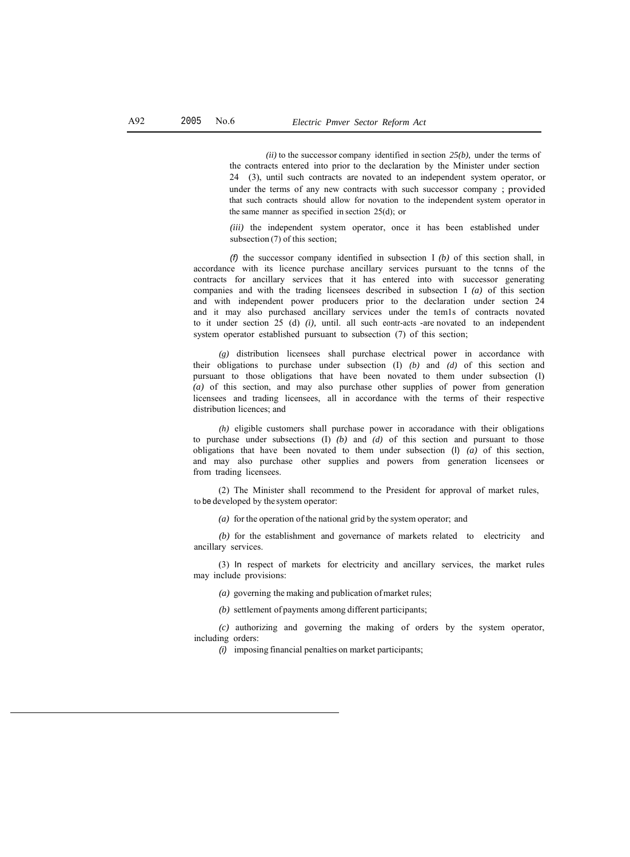*(ii)* to the successor company identified in section *25(b),* under the terms of the contracts entered into prior to the declaration by the Minister under section 24 (3), until such contracts are novated to an independent system operator, or under the terms of any new contracts with such successor company; provided that such contracts should allow for novation to the independent system operator in the same manner as specified in section 25(d); or

*(iii)* the independent system operator, once it has been established under subsection (7) of this section;

*(f)* the successor company identified in subsection I *(b)* of this section shall, in accordance with its licence purchase ancillary services pursuant to the tcnns of the contracts for ancillary services that it has entered into with successor generating companies and with the trading licensees described in subsection I *(a)* of this section and with independent power producers prior to the declaration under section 24 and it may also purchased ancillary services under the tem1s of contracts novated to it under section 25 (d) *(i),* until. all such eontr-acts -are novated to an independent system operator established pursuant to subsection (7) of this section;

*(g)* distribution licensees shall purchase electrical power in accordance with their obligations to purchase under subsection (I) *(b)* and *(d)* of this section and pursuant to those obligations that have been novated to them under subsection (l) *(a)* of this section, and may also purchase other supplies of power from generation licensees and trading licensees, all in accordance with the terms of their respective distribution licences; and

*(h)* eligible customers shall purchase power in accoradance with their obligations to purchase under subsections (I) *(b)* and *(d)* of this section and pursuant to those obligations that have been novated to them under subsection (I) *(a)* of this section, and may also purchase other supplies and powers from generation licensees or from trading licensees.

(2) The Minister shall recommend to the President for approval of market rules, to be developed by the system operator:

*(a)* for the operation of the national grid by the system operator; and

*(b)* for the establishment and governance of markets related to electricity and ancillary services.

(3) In respect of markets for electricity and ancillary services, the market rules may include provisions:

- *(a)* governing the making and publication of market rules;
- *(b)* settlement of payments among different participants;

*(c)* authorizing and governing the making of orders by the system operator, including orders:

*(i)* imposing financial penalties on market participants;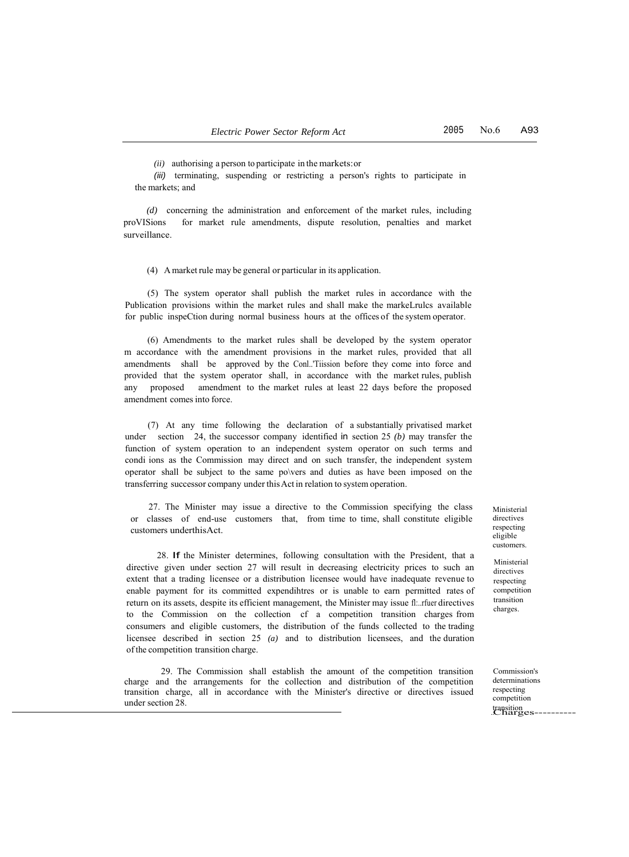*(ii)* authorising a person to participate in the markets:or

*(iii)* terminating, suspending or restricting a person's rights to participate in the markets; and

*(d)* concerning the administration and enforcement of the market rules, including proVISions for market rule amendments, dispute resolution, penalties and market surveillance.

(4) A market rule may be general or particular in its application.

(5) The system operator shall publish the market rules in accordance with the Publication provisions within the market rules and shall make the markeLrulcs available for public inspeCtion during normal business hours at the offices of the system operator.

(6) Amendments to the market rules shall be developed by the system operator m accordance with the amendment provisions in the market rules, provided that all amendments shall be approved by the Conl..'Tiission before they come into force and provided that the system operator shall, in accordance with the market rules, publish any proposed amendment to the market rules at least 22 days before the proposed amendment comes into force.

(7) At any time following the declaration of a substantially privatised market under section 24, the successor company identified in section 25 *(b)* may transfer the function of system operation to an independent system operator on such terms and condi ions as the Commission may direct and on such transfer, the independent system operator shall be subject to the same po\vers and duties as have been imposed on the transferring successor company under this Act in relation to system operation.

27. The Minister may issue a directive to the Commission specifying the class or classes of end-use customers that, from time to time, shall constitute eligible customers underthisAct.

28. If the Minister determines, following consultation with the President, that a directive given under section 27 will result in decreasing electricity prices to such an extent that a trading licensee or a distribution licensee would have inadequate revenue to enable payment for its committed expendihtres or is unable to earn permitted rates of return on its assets, despite its efficient management, the Minister may issue fl:..rfuer directives to the Commission on the collection cf a competition transition charges from consumers and eligible customers, the distribution of the funds collected to the trading licensee described in section 25 *(a)* and to distribution licensees, and the duration of the competition transition charge.

29. The Commission shall establish the amount of the competition transition charge and the arrangements for the collection and distribution of the competition transition charge, all in accordance with the Minister's directive or directives issued under section 28.

Ministerial directives respecting eligible customers.

Ministerial directives respecting competition transition charges.

. transition .Charges----------Commission's determinations respecting competition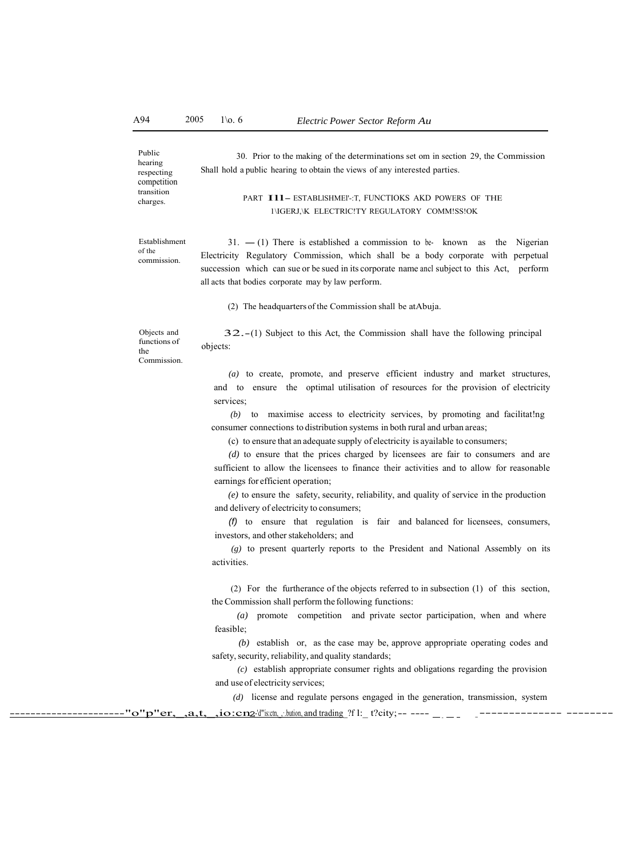Public hearing respecting competition transition charges.

# PART I11- ESTABLISHMEI'-: T, FUNCTIOKS AKD POWERS OF THE

30. Prior to the making of the determinations set om in section 29, the Commission

# 1\IGERJ,\K ELECTRlC!TY REGULATORY COMM!SS!OK

Establishment of the commission.

 $31. - (1)$  There is established a commission to be- known as the Nigerian Electricity Regulatory Commission, which shall be a body corporate with perpetual succession which can sue or be sued in its corporate name ancl subject to this Act, perform all acts that bodies corporate may by law perform.

(2) The headquarters of the Commission shall be atAbuja.

Shall hold a public hearing to obtain the views of any interested parties.

Objects and functions of the Commission.

32.-(1) Subject to this Act, the Commission shall have the following principal objects:

*(a)* to create, promote, and preserve efficient industry and market structures, and to ensure the optimal utilisation of resources for the provision of electricity services;

*(b)* to maximise access to electricity services, by promoting and facilitat!ng consumer connections to distribution systems in both rural and urban areas;

(c) to ensure that an adequate supply of electricity is ayailable to consumers;

*(d)* to ensure that the prices charged by licensees are fair to consumers and are sufficient to allow the licensees to finance their activities and to allow for reasonable earnings for efficient operation;

*(e)* to ensure the safety, security, reliability, and quality of service in the production and delivery of electricity to consumers;

*(f)* to ensure that regulation is fair and balanced for licensees, consumers, investors, and other stakeholders; and

*(g)* to present quarterly reports to the President and National Assembly on its activities.

(2) For the furtherance of the objects referred to in subsection (1) of this section, the Commission shall perform the following functions:

*(a)* promote competition and private sector participation, when and where feasible;

*(b)* establish or, as the case may be, approve appropriate operating codes and safety, security, reliability, and quality standards;

*(c)* establish appropriate consumer rights and obligations regarding the provision and use of electricity services;

*(d)* license and regulate persons engaged in the generation, transmission, system

 $\mathbf{``o''p''er, }, a,t,$  ,  $\mathbf{io:cn2}$ -'d"'is:ctn, , bution, and trading ?f l:\_ t?city;-- ---- \_ \_ \_ \_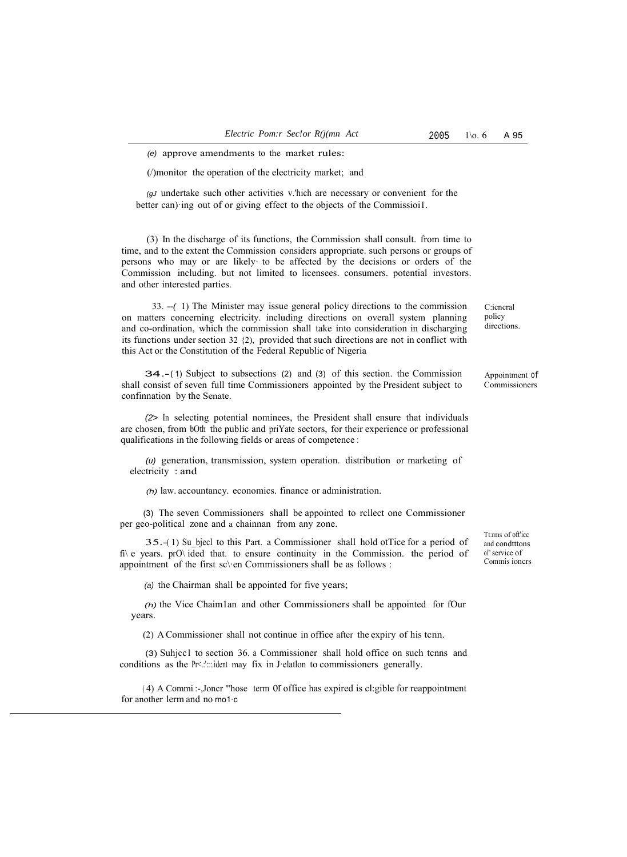(/)monitor the operation of the electricity market; and

*(gJ* undertake such other activities v.'hich are necessary or convenient for the better can)·ing out of or giving effect to the objects of the Commissioi1.

(3) In the discharge of its functions, the Commission shall consult. from time to time, and to the extent the Commission considers appropriate. such persons or groups of persons who may or are likely· to be affected by the decisions or orders of the Commission including. but not limited to licensees. consumers. potential investors. and other interested parties.

33. *--(* 1) The Minister may issue general policy directions to the commission on matters concerning electricity. including directions on overall system planning and co-ordination, which the commission shall take into consideration in discharging its functions under section 32 {2), provided that such directions are not in conflict with this Act or the Constitution of the Federal Republic of Nigeria

34.- ( 1) Subject to subsections (2) and (3) of this section. the Commission shall consist of seven full time Commissioners appointed by the President subject to confinnation by the Senate.

*(2>* In selecting potential nominees, the President shall ensure that individuals are chosen, from bOth the public and priYate sectors, for their experience or professional qualifications in the following fields or areas of competence :

*(u)* generation, transmission, system operation. distribution or marketing of electricity : and

*(h)* law. accountancy. economics. finance or administration.

(3) The seven Commissioners shall be appointed to rcllect one Commissioner per geo-political zone and a chainnan from any zone.

35.-(1) Su bjecl to this Part. a Commissioner shall hold otTice for a period of fi\ e years. prO\ ided that. to ensure continuity in the Commission. the period of appointment of the first sc\·en Commissioners shall be as follows :

*(a)* the Chairman shall be appointed for five years;

*(h)* the Vice Chaim1an and other Commissioners shall be appointed for fOur years.

(2) A Commissioner shall not continue in office after the expiry of his tcnn.

(3) Suhjcc1 to section 36. a Commissioner shall hold office on such tcnns and conditions as the Pr<.: "....ident may fix in J·elatlon to commissioners generally.

(4) A Commi :-,Joncr "'hose term OI office has expired is cl:gible for reappointment for another lerm and no mo1·c

Tt:rms of oft'icc and condtttons ol" service of Commis ioncrs

C:icncral policy directions.

Appointment of Commissioners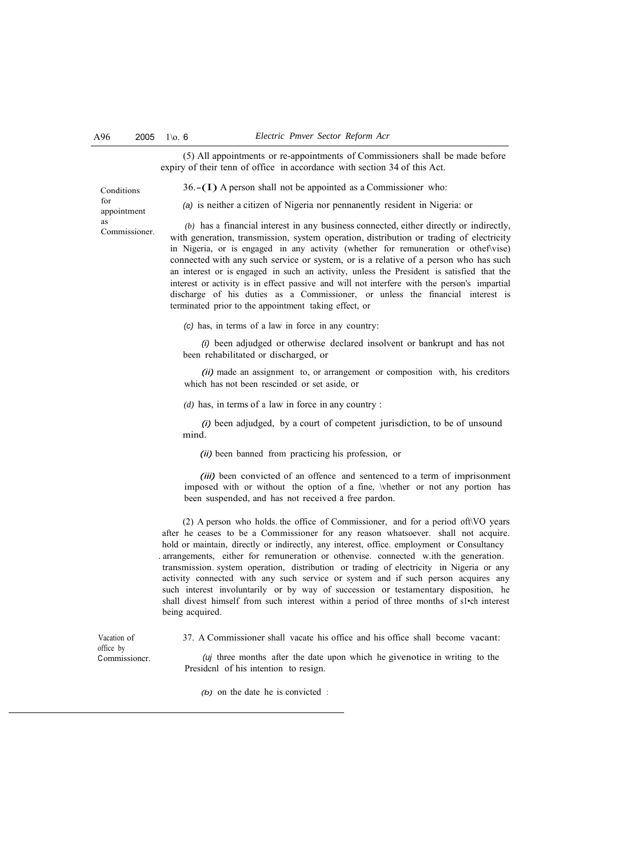(5) All appointments or re-appointments of Commissioners shall be made before expiry of their tenn of office in accordance with section 34 of this Act.

36.-(I) A person shall not be appointed as a Commissioner who:

Conditions for appointment as Commissioner.

*(a)* is neither a citizen of Nigeria nor pennanently resident in Nigeria: or

*(b)* has a financial interest in any business connected, either directly or indirectly, with generation, transmission, system operation, distribution or trading of electricity in Nigeria, or is engaged in any activity (whether for remuneration or othef\vise) connected with any such service or system, or is a relative of a person who has such an interest or is engaged in such an activity, unless the President is satisfied that the interest or activity is in effect passive and will not interfere with the person's impartial discharge of his duties as a Commissioner, or unless the financial interest is terminated prior to the appointment taking effect, or

*(c)* has, in terms of a law in force in any country:

*(i)* been adjudged or otherwise declared insolvent or bankrupt and has not been rehabilitated or discharged, or

*(ii)* made an assignment to, or arrangement or composition with, his creditors which has not been rescinded or set aside, or

*(d)* has, in terms of a law in force in any country :

*(i)* been adjudged, by a court of competent jurisdiction, to be of unsound mind.

*(ii)* been banned from practicing his profession, or

*(iii)* been convicted of an offence and sentenced to a term of imprisonment imposed with or without the option of a fine, \vhether or not any portion has been suspended, and has not received a free pardon.

(2) A person who holds. the office of Commissioner, and for a period oft\VO years after he ceases to be a Commissioner for any reason whatsoever. shall not acquire. hold or maintain, directly or indirectly, any interest, office. employment or Consultancy . arrangements, either for remuneration or othenvise. connected w.ith the generation. transmission. system operation, distribution or trading of electricity in Nigeria or any activity connected with any such service or system and if such person acquires any such interest involuntarily or by way of succession or testamentary disposition, he shall divest himself from such interest within a period of three months of s1•ch interest being acquired.

37. A Commissioner shall vacate his office and his office shall become vacant:

*(uj* three months after the date upon which he givenotice in writing to the Presidcnl of his intention to resign.

*(b)* on the date he is convicted :

Vacation of office by Commissioncr.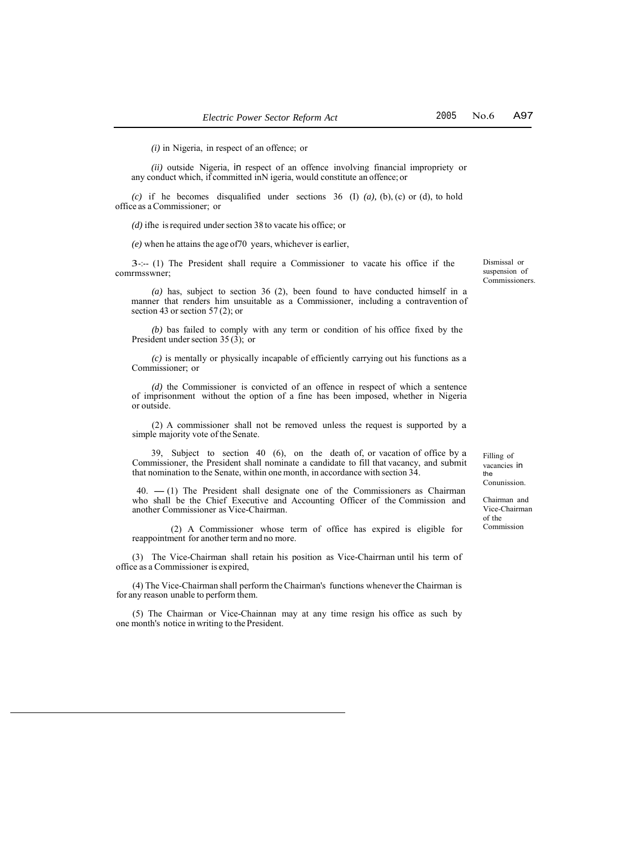*(i)* in Nigeria, in respect of an offence; or

*(ii)* outside Nigeria, in respect of an offence involving financial impropriety or any conduct which, if committed inN igeria, would constitute an offence; or

*(c)* if he becomes disqualified under sections 36 (I) *(a),* (b), (c) or (d), to hold office as a Commissioner; or

*(d)* ifhe is required under section 38 to vacate his office; or

*(e)* when he attains the age of70 years, whichever is earlier,

3-:-- (1) The President shall require a Commissioner to vacate his office if the comrmsswner;

*(a)* has, subject to section 36 (2), been found to have conducted himself in a manner that renders him unsuitable as a Commissioner, including a contravention of section 43 or section 57 (2); or

*(b)* bas failed to comply with any term or condition of his office fixed by the President under section 35 $(3)$ ; or

*(c)* is mentally or physically incapable of efficiently carrying out his functions as a Commissioner; or

*(d)* the Commissioner is convicted of an offence in respect of which a sentence of imprisonment without the option of a fine has been imposed, whether in Nigeria or outside.

(2) A commissioner shall not be removed unless the request is supported by a simple majority vote of the Senate.

39, Subject to section 40 (6), on the death of, or vacation of office by a Commissioner, the President shall nominate a candidate to fill that vacancy, and submit that nomination to the Senate, within one month, in accordance with section 34.

10. - (1) The President shall designate one of the Commissioners as Chairman who shall be the Chief Executive and Accounting Officer of the Commission and another Commissioner as Vice-Chairman.

(2) A Commissioner whose term of office has expired is eligible for reappointment for another term and no more.

(3) The Vice-Chairman shall retain his position as Vice-Chairrnan until his term of office as a Commissioner is expired,

(4) The Vice-Chairman shall perform the Chairman's functions whenever the Chairman is for any reason unable to perform them.

(5) The Chairman or Vice-Chainnan may at any time resign his office as such by one month's notice in writing to the President.

Filling of vacancies in the Conunission.

Chairman and Vice-Chairman of the Commission

No.6 A97

Dismissal or suspension of Commissioners.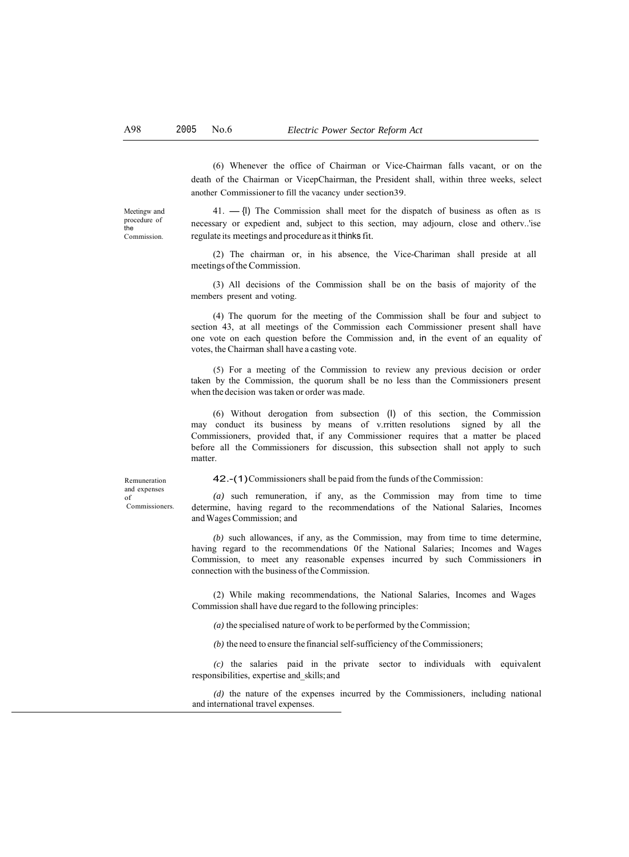(6) Whenever the office of Chairman or Vice-Chairman falls vacant, or on the death of the Chairman or VicepChairman, the President shall, within three weeks, select another Commissioner to fill the vacancy under section39.

Meetingw and procedure of the **Commission** 

 $41. -$ {|) The Commission shall meet for the dispatch of business as often as IS necessary or expedient and, subject to this section, may adjourn, close and otherv..'ise regulate its meetings and procedure as it thinks fit.

(2) The chairman or, in his absence, the Vice-Chariman shall preside at all meetings of the Commission.

(3) All decisions of the Commission shall be on the basis of majority of the members present and voting.

(4) The quorum for the meeting of the Commission shall be four and subject to section 43, at all meetings of the Commission each Commissioner present shall have one vote on each question before the Commission and, in the event of an equality of votes, the Chairman shall have a casting vote.

(5) For a meeting of the Commission to review any previous decision or order taken by the Commission, the quorum shall be no less than the Commissioners present when the decision was taken or order was made.

(6) Without derogation from subsection (I) of this section, the Commission may conduct its business by means of v.rritten resolutions signed by all the Commissioners, provided that, if any Commissioner requires that a matter be placed before all the Commissioners for discussion, this subsection shall not apply to such matter.

42.-(1)Commissioners shall be paid from the funds of the Commission:

Remuneration and expenses of Commissioners.

*(a)* such remuneration, if any, as the Commission may from time to time determine, having regard to the recommendations of the National Salaries, Incomes and Wages Commission; and

*(b)* such allowances, if any, as the Commission, may from time to time determine, having regard to the recommendations 0f the National Salaries; Incomes and Wages Commission, to meet any reasonable expenses incurred by such Commissioners in connection with the business of the Commission.

(2) While making recommendations, the National Salaries, Incomes and Wages Commission shall have due regard to the following principles:

*(a)* the specialised nature of work to be performed by the Commission;

*(b)* the need to ensure the financial self-sufficiency of the Commissioners;

*(c)* the salaries paid in the private sector to individuals with equivalent responsibilities, expertise and\_skills; and

*(d)* the nature of the expenses incurred by the Commissioners, including national and international travel expenses.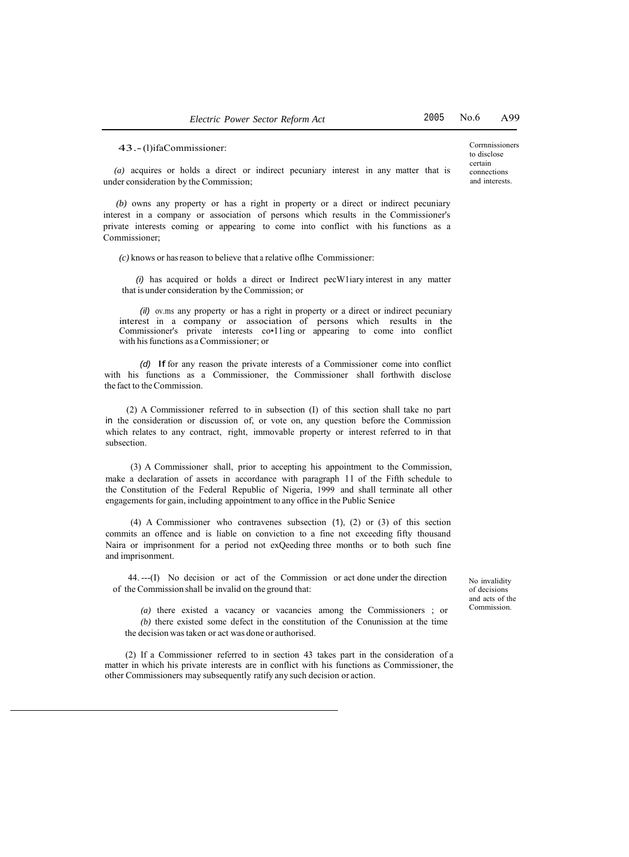43.- (l)ifaCommissioner:

Corrnnissioners to disclose certain connections and interests.

*(a)* acquires or holds a direct or indirect pecuniary interest in any matter that is under consideration by the Commission;

*(b)* owns any property or has a right in property or a direct or indirect pecuniary interest in a company or association of persons which results in the Commissioner's private interests coming or appearing to come into conflict with his functions as a Commissioner;

*(c)* knows or hasreason to believe that a relative oflhe Commissioner:

*(i)* has acquired or holds a direct or Indirect pecW1iary interest in any matter that is under consideration by the Commission; or

*(il)* ov.ms any property or has a right in property or a direct or indirect pecuniary interest in a company or association of persons which results in the Commissioner's private interests co•11ing or appearing to come into conflict with his functions as a Commissioner; or

*(d)* If for any reason the private interests of a Commissioner come into conflict with his functions as a Commissioner, the Commissioner shall forthwith disclose the fact to the Commission.

(2) A Commissioner referred to in subsection (I) of this section shall take no part in the consideration or discussion of, or vote on, any question before the Commission which relates to any contract, right, immovable property or interest referred to in that subsection.

(3) A Commissioner shall, prior to accepting his appointment to the Commission, make a declaration of assets in accordance with paragraph 11 of the Fifth schedule to the Constitution of the Federal Republic of Nigeria, 1999 and shall terminate all other engagements for gain, including appointment to any office in the Public Senice

(4) A Commissioner who contravenes subsection (1), (2) or (3) of this section commits an offence and is liable on conviction to a fine not exceeding fifty thousand Naira or imprisonment for a period not exQeeding three months or to both such fine and imprisonment.

44. ---(I) No decision or act of the Commission or act done under the direction of the Commission shall be invalid on the ground that:

No invalidity of decisions and acts of the Commission.

*(a)* there existed a vacancy or vacancies among the Commissioners ; or *(b)* there existed some defect in the constitution of the Conunission at the time the decision was taken or act was done or authorised.

(2) If a Commissioner referred to in section 43 takes part in the consideration of a matter in which his private interests are in conflict with his functions as Commissioner, the other Commissioners may subsequently ratify any such decision or action.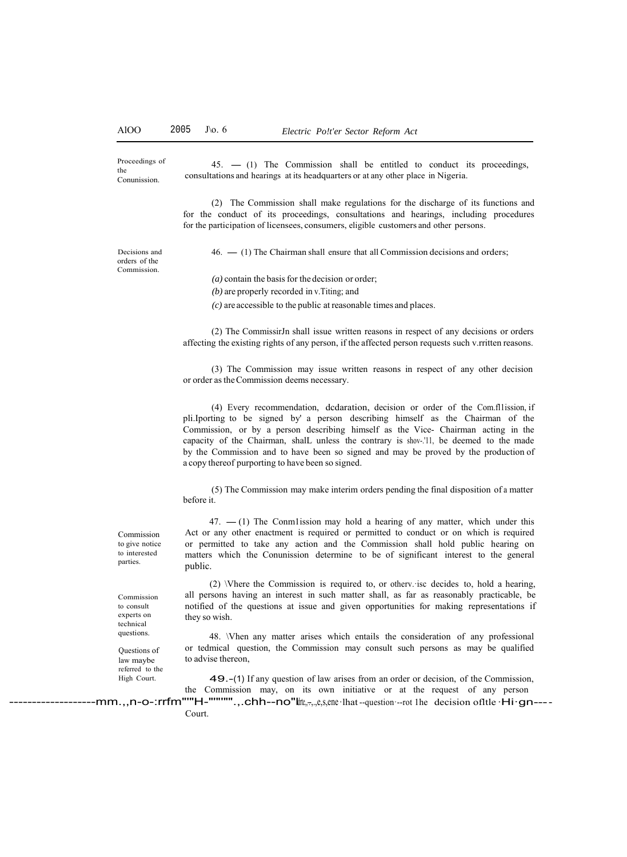Proceedings of the Conunission.

 $45. - (1)$  The Commission shall be entitled to conduct its proceedings, consultations and hearings at its headquarters or at any other place in Nigeria.

(2) The Commission shall make regulations for the discharge of its functions and for the conduct of its proceedings, consultations and hearings, including procedures for the participation of licensees, consumers, eligible customers and other persons.

Decisions and orders of the Commission.

46. - (1) The Chairman shall ensure that all Commission decisions and orders;

*(a)* contain the basis for the decision or order;

*(b)* are properly recorded in v.Titing; and

*(c)* are accessible to the public at reasonable times and places.

(2) The CommissirJn shall issue written reasons in respect of any decisions or orders affecting the existing rights of any person, if the affected person requests such v.rritten reasons.

(3) The Commission may issue written reasons in respect of any other decision or order as the Commission deems necessary.

(4) Every recommendation, dcdaration, decision or order of the Com.fl1ission, if pli.Iporting to be signed by' a person describing himself as the Chairman of the Commission, or by a person describing himself as the Vice- Chairman acting in the capacity of the Chairman, shalL unless the contrary is shov-.'11, be deemed to the made by the Commission and to have been so signed and may be proved by the production of a copy thereof purporting to have been so signed.

(5) The Commission may make interim orders pending the final disposition of a matter before it.

 $47. - (1)$  The Conm1ission may hold a hearing of any matter, which under this Act or any other enactment is required or permitted to conduct or on which is required or permitted to take any action and the Commission shall hold public hearing on matters which the Conunission determine to be of significant interest to the general public.

(2) \Vhere the Commission is required to, or otherv.·isc decides to, hold a hearing, all persons having an interest in such matter shall, as far as reasonably practicable, be notified of the questions at issue and given opportunities for making representations if they so wish.

48. \Vhen any matter arises which entails the consideration of any professional or tedmical question, the Commission may consult such persons as may be qualified to advise thereon,

49.-(1) If any question of law arises from an order or decision, of the Commission, the Commission may, on its own initiative or at the request of any person

-mm.,,n-o-:rrfm""H-""""".,.chh--no"lte,-,,e,s,ene·lhat --question·--rot 1he decision ofltle·Hi·gn----Court.

to give notice to interested parties.

Commission

Commission to consult experts on technical questions.

Questions of law maybe referred to the High Court.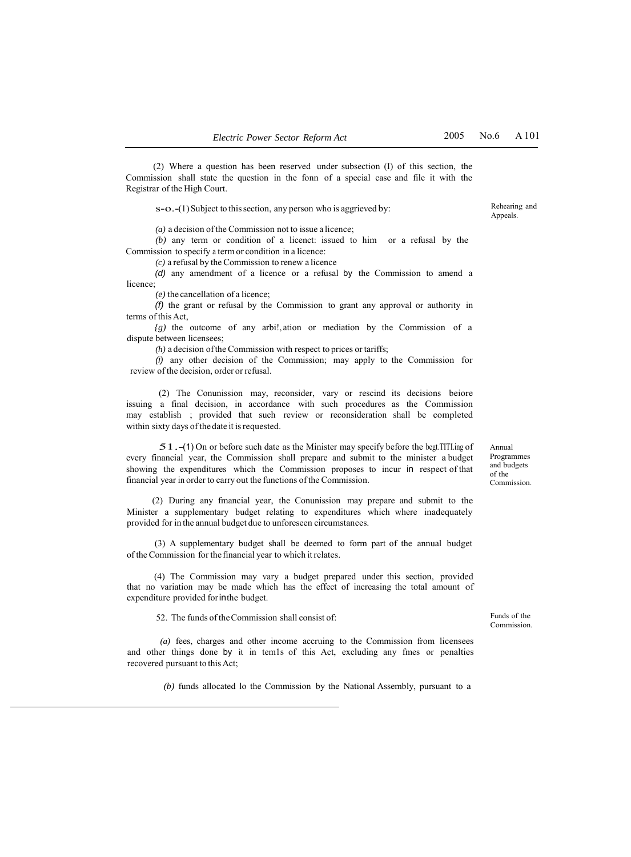Rehearing and Appeals.

(2) Where a question has been reserved under subsection (I) of this section, the Commission shall state the question in the fonn of a special case and file it with the Registrar of the High Court.

s-o.-(1) Subject to this section, any person who is aggrieved by:

*(a)* a decision of the Commission not to issue a licence;

*(b)* any term or condition of a licenct: issued to him or a refusal by the Commission to specify a term or condition in a licence:

*(c)* a refusal by the Commission to renew a licence

*(d)* any amendment of a licence or a refusal by the Commission to amend a licence;

*(e)* the cancellation of a licence;

*(f)* the grant or refusal by the Commission to grant any approval or authority in terms of this Act,

*{g)* the outcome of any arbi!, ation or mediation by the Commission of a dispute between licensees;

*(h)* a decision of the Commission with respect to prices or tariffs;

*(i)* any other decision of the Commission; may apply to the Commission for review of the decision, order or refusal.

(2) The Conunission may, reconsider, vary or rescind its decisions beiore issuing a final decision, in accordance with such procedures as the Commission may establish ; provided that such review or reconsideration shall be completed within sixty days of the date it is requested.

51.-(1) On or before such date as the Minister may specify before the begt.TITI.ing of every financial year, the Commission shall prepare and submit to the minister a budget showing the expenditures which the Commission proposes to incur in respect of that financial year in order to carry out the functions of the Commission.

(2) During any fmancial year, the Conunission may prepare and submit to the Minister a supplementary budget relating to expenditures which where inadequately provided for in the annual budget due to unforeseen circumstances.

(3) A supplementary budget shall be deemed to form part of the annual budget of the Commission for the financial year to which itrelates.

(4) The Commission may vary a budget prepared under this section, provided that no variation may be made which has the effect of increasing the total amount of expenditure provided for inthe budget.

52. The funds of the Commission shall consist of:

*(a)* fees, charges and other income accruing to the Commission from licensees and other things done by it in tem1s of this Act, excluding any fmes or penalties recovered pursuant to this Act;

*(b)* funds allocated lo the Commission by the National Assembly, pursuant to a

Annual Programmes and budgets of the Commission.

Funds of the Commission.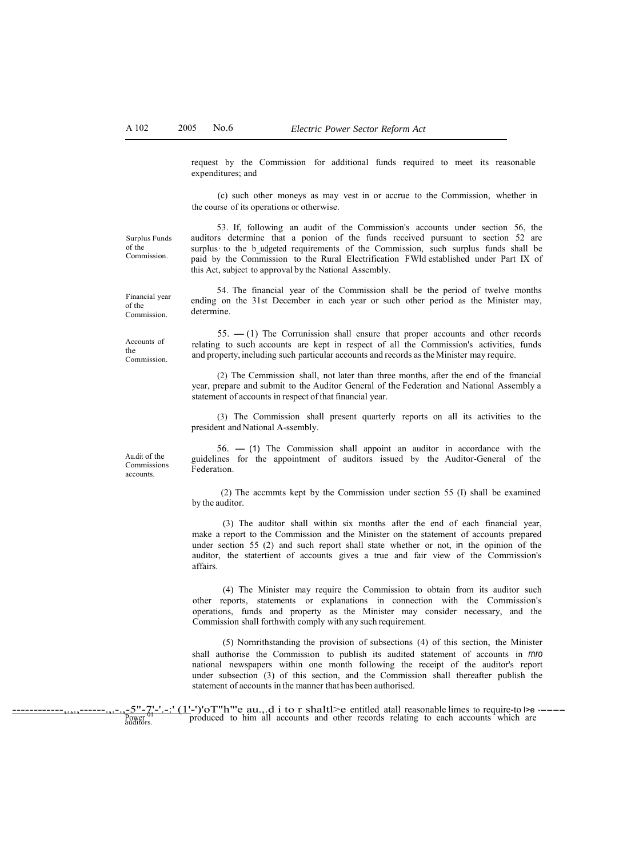request by the Commission for additional funds required to meet its reasonable expenditures; and

(c) such other moneys as may vest in or accrue to the Commission, whether in the course of its operations or otherwise.

Surplus Funds of the Commission.

53. If, following an audit of the Commission's accounts under section 56, the auditors determine that a ponion of the funds received pursuant to section 52 are surplus to the b udgeted requirements of the Commission, such surplus funds shall be paid by the Commission to the Rural Electrification F Wld established under Part IX of this Act, subject to approval by the National Assembly.

54. The financial year of the Commission shall be the period of twelve months ending on the 31st December in each year or such other period as the Minister may,

Financial year of the Commission.

determine.

Accounts of the Commission.

 $55. - (1)$  The Corrunission shall ensure that proper accounts and other records relating to such accounts are kept in respect of all the Commission's activities, funds and property, including such particular accounts and records as the Minister may require.

(2) The Cemmission shall, not later than three months, after the end of the fmancial year, prepare and submit to the Auditor General of the Federation and National Assembly a statement of accounts in respect of that financial year.

(3) The Commission shall present quarterly reports on all its activities to the president and National A-ssembly.

Au.dit of the Commissions accounts.

 $56. - (1)$  The Commission shall appoint an auditor in accordance with the guidelines for the appointment of auditors issued by the Auditor-General of the Federation.

(2) The accmmts kept by the Commission under section 55 (I) shall be examined by the auditor.

(3) The auditor shall within six months after the end of each financial year, make a report to the Commission and the Minister on the statement of accounts prepared under section 55 (2) and such report shall state whether or not, in the opinion of the auditor, the statertient of accounts gives a true and fair view of the Commission's affairs.

(4) The Minister may require the Commission to obtain from its auditor such other reports, statements or explanations in connection with the Commission's operations, funds and property as the Minister may consider necessary, and the Commission shall forthwith comply with any such requirement.

(5) Nornrithstanding the provision of subsections (4) of this section, the Minister shall authorise the Commission to publish its audited statement of accounts in *rnro*  national newspapers within one month following the receipt of the auditor's report under subsection (3) of this section, and the Commission shall thereafter publish the statement of accounts in the manner that has been authorised.

------------,.,.,------.,.-.,-5"-7'-'.-:' (1'-')'oT"h"'e au.,.d i to r shaltl>e entitled atall reasonable limes to require-to l>e ---- produced to him all accounts and other records relating to each accounts which are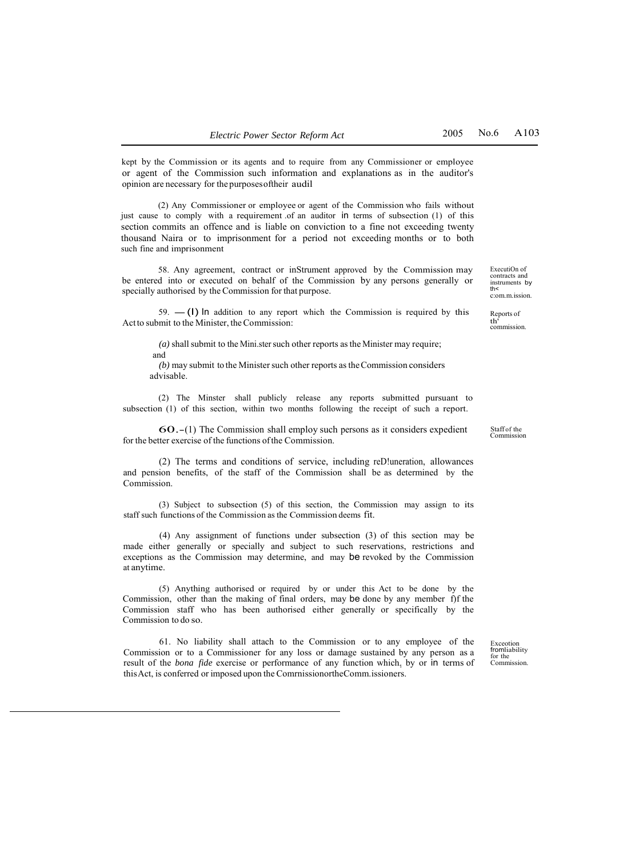kept by the Commission or its agents and to require from any Commissioner or employee or agent of the Commission such information and explanations as in the auditor's opinion are necessary for the purposes oftheir audil

(2) Any Commissioner or employee or agent of the Commission who fails without just cause to comply with a requirement of an auditor in terms of subsection (1) of this section commits an offence and is liable on conviction to a fine not exceeding twenty thousand Naira or to imprisonment for a period not exceeding months or to both such fine and imprisonment

58. Any agreement, contract or inStrument approved by the Commission may be entered into or executed on behalf of the Commission by any persons generally or specially authorised by the Commission for that purpose.

 $59. - (1)$  In addition to any report which the Commission is required by this Act to submit to the Minister, the Commission:

*(a)* shall submit to the Mini.ster such other reports as the Minister may require; and

*(b)* may submit to the Minister such other reports as the Commission considers advisable.

(2) The Minster shall publicly release any reports submitted pursuant to subsection (1) of this section, within two months following the receipt of such a report.

60.-(1) The Commission shall employ such persons as it considers expedient for the better exercise of the functions of the Commission.

(2) The terms and conditions of service, including reD!uneration, allowances and pension benefits, of the staff of the Commission shall be as determined by the Commission.

(3) Subject to subsection (5) of this section, the Commission may assign to its staff such functions of the Commission as the Commission deems fit.

(4) Any assignment of functions under subsection (3) of this section may be made either generally or specially and subject to such reservations, restrictions and exceptions as the Commission may determine, and may be revoked by the Commission at anytime.

(5) Anything authorised or required by or under this Act to be done by the Commission, other than the making of final orders, may be done by any member f)f the Commission staff who has been authorised either generally or specifically by the Commission to do so.

61. No liability shall attach to the Commission or to any employee of the Commission or to a Commissioner for any loss or damage sustained by any person as a result of the *bona fide* exercise or performance of any function which, by or in terms of this Act, is conferred or imposed upon the ComrnissionortheComm.issioners.

ExecutiOn of contracts and instruments by th< c:om.m.ission.

Reports of th' commission.

Staff of the Commission

Exceotion fromliability for the Commission.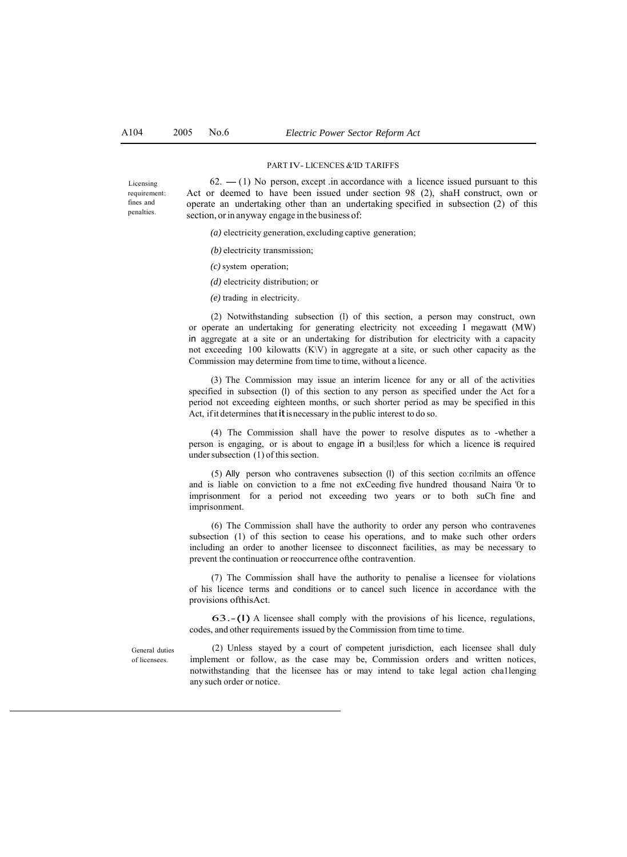#### PART IV- LICENCES &'ID TARIFFS

Licensing requirement: fines and penalties.

 $62. - (1)$  No person, except .in accordance with a licence issued pursuant to this Act or deemed to have been issued under section 98 (2), shaH construct, own or operate an undertaking other than an undertaking specified in subsection (2) of this section, or in anyway engage in the business of:

*(a)* electricity generation, excluding captive generation;

- *(b)* electricity transmission;
- *(c)* system operation;
- *(d)* electricity distribution; or
- *(e)* trading in electricity.

(2) Notwithstanding subsection (l) of this section, a person may construct, own or operate an undertaking for generating electricity not exceeding I megawatt (MW) in aggregate at a site or an undertaking for distribution for electricity with a capacity not exceeding 100 kilowatts (K\V) in aggregate at a site, or such other capacity as the Commission may determine from time to time, without a licence.

(3) The Commission may issue an interim licence for any or all of the activities specified in subsection (I) of this section to any person as specified under the Act for a period not exceeding eighteen months, or such shorter period as may be specified in this Act, if it determines that it is necessary in the public interest to do so.

(4) The Commission shall have the power to resolve disputes as to -whether a person is engaging, or is about to engage in a busil;less for which a licence is required under subsection (1) of this section.

(5) Ally person who contravenes subsection (I) of this section co:rilmits an offence and is liable on conviction to a fme not exCeeding five hundred thousand Naira 'Or to imprisonment for a period not exceeding two years or to both suCh fine and imprisonment.

(6) The Commission shall have the authority to order any person who contravenes subsection (1) of this section to cease his operations, and to make such other orders including an order to another licensee to disconnect facilities, as may be necessary to prevent the continuation or reoccurrence ofthe contravention.

(7) The Commission shall have the authority to penalise a licensee for violations of his licence terms and conditions or to cancel such licence in accordance with the provisions ofthisAct.

63.-(I) A licensee shall comply with the provisions of his licence, regulations, codes, and other requirements issued by the Commission from time to time.

General duties of licensees.

(2) Unless stayed by a court of competent jurisdiction, each licensee shall duly implement or follow, as the case may be, Commission orders and written notices, notwithstanding that the licensee has or may intend to take legal action cha1lenging any such order or notice.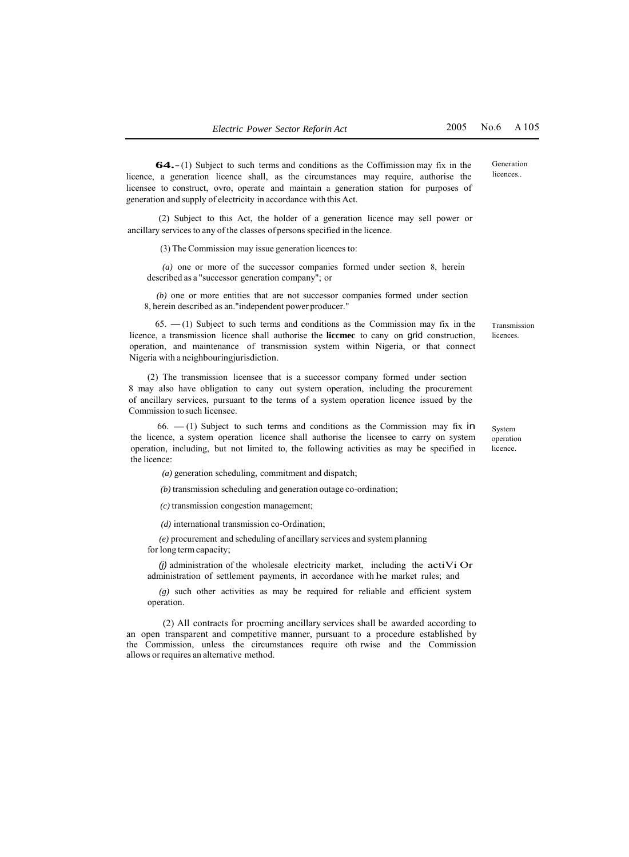**64.-**(1) Subject to such terms and conditions as the Coffimission may fix in the licence, a generation licence shall, as the circumstances may require, authorise the licensee to construct, ovro, operate and maintain a generation station for purposes of generation and supply of electricity in accordance with this Act.

(2) Subject to this Act, the holder of a generation licence may sell power or ancillary services to any of the classes of persons specified in the licence.

(3) The Commission may issue generation licences to:

*(a)* one or more of the successor companies formed under section 8, herein described as a "successor generation company"; or

*(b)* one or more entities that are not successor companies formed under section 8, herein described as an."independent power producer."

 $65.$  -(1) Subject to such terms and conditions as the Commission may fix in the licence, a transmission licence shall authorise the **liccmec** to cany on grid construction, operation, and maintenance of transmission system within Nigeria, or that connect Nigeria with a neighbouringjurisdiction.

(2) The transmission licensee that is a successor company formed under section 8 may also have obligation to cany out system operation, including the procurement of ancillary services, pursuant to the terms of a system operation licence issued by the Commission to such licensee.

 $66. - (1)$  Subject to such terms and conditions as the Commission may fix in the licence, a system operation licence shall authorise the licensee to carry on system operation, including, but not limited to, the following activities as may be specified in the licence:

*(a)* generation scheduling, commitment and dispatch;

*(b)* transmission scheduling and generation outage co-ordination;

*(c)* transmission congestion management;

*(d)* international transmission co-Ordination;

*(e)* procurement and scheduling of ancillary services and system planning for long term capacity;

 $(j)$  administration of the wholesale electricity market, including the actiVi Or administration of settlement payments, in accordance with he market rules; and

*(g)* such other activities as may be required for reliable and efficient system operation.

(2) All contracts for procming ancillary services shall be awarded according to an open transparent and competitive manner, pursuant to a procedure established by the Commission, unless the circumstances require oth rwise and the Commission allows or requires an alternative method.

licences..

Generation

Transmission licences.

System operation licence.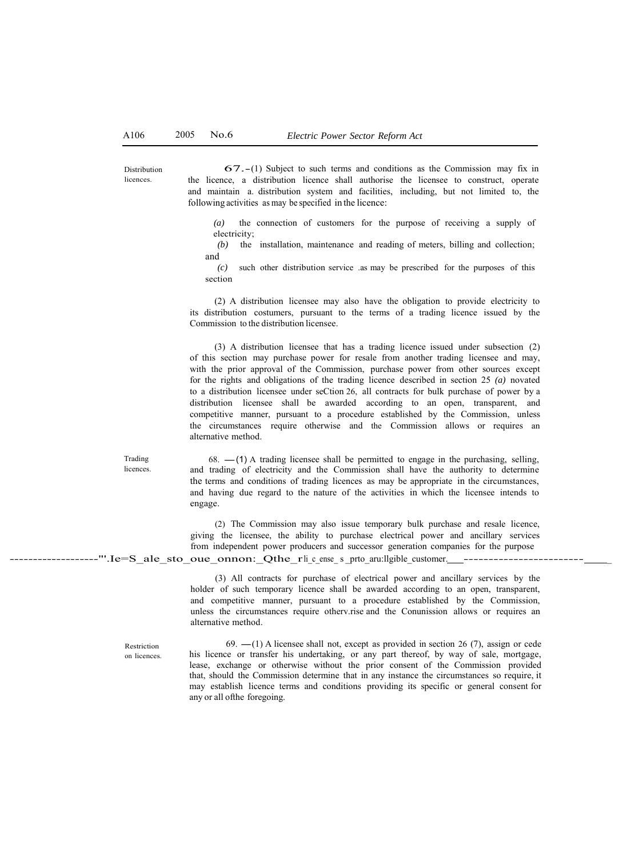Distribution licences

67.-(1) Subject to such terms and conditions as the Commission may fix in the licence, a distribution licence shall authorise the licensee to construct, operate and maintain a. distribution system and facilities, including, but not limited to, the following activities as may be specified in the licence:

*(a)* the connection of customers for the purpose of receiving a supply of electricity;

*(b)* the installation, maintenance and reading of meters, billing and collection; and

*(c)* such other distribution service .as may be prescribed for the purposes of this section

(2) A distribution licensee may also have the obligation to provide electricity to its distribution costumers, pursuant to the terms of a trading licence issued by the Commission to the distribution licensee.

(3) A distribution licensee that has a trading licence issued under subsection (2) of this section may purchase power for resale from another trading licensee and may, with the prior approval of the Commission, purchase power from other sources except for the rights and obligations of the trading licence described in section 25 *(a)* novated to a distribution licensee under seCtion 26, all contracts for bulk purchase of power by a distribution licensee shall be awarded according to an open, transparent, and competitive manner, pursuant to a procedure established by the Commission, unless the circumstances require otherwise and the Commission allows or requires an alternative method.

Trading licences.

 $68. -$ (1) A trading licensee shall be permitted to engage in the purchasing, selling, and trading of electricity and the Commission shall have the authority to determine the terms and conditions of trading licences as may be appropriate in the circumstances, and having due regard to the nature of the activities in which the licensee intends to engage.

(2) The Commission may also issue temporary bulk purchase and resale licence, giving the licensee, the ability to purchase electrical power and ancillary services from independent power producers and successor generation companies for the purpose -------------------"'.Ie=S\_ale\_sto\_oue\_onnon:\_Qthe\_rli\_c\_ense\_ s \_prto\_aru:llgible\_customer. ------------------------ \_

> (3) All contracts for purchase of electrical power and ancillary services by the holder of such temporary licence shall be awarded according to an open, transparent, and competitive manner, pursuant to a procedure established by the Commission, unless the circumstances require otherv.rise and the Conunission allows or requires an alternative method.

Restriction on licences.

69.  $-(1)$  A licensee shall not, except as provided in section 26 (7), assign or cede his licence or transfer his undertaking, or any part thereof, by way of sale, mortgage, lease, exchange or otherwise without the prior consent of the Commission provided that, should the Commission determine that in any instance the circumstances so require, it may establish licence terms and conditions providing its specific or general consent for any or all ofthe foregoing.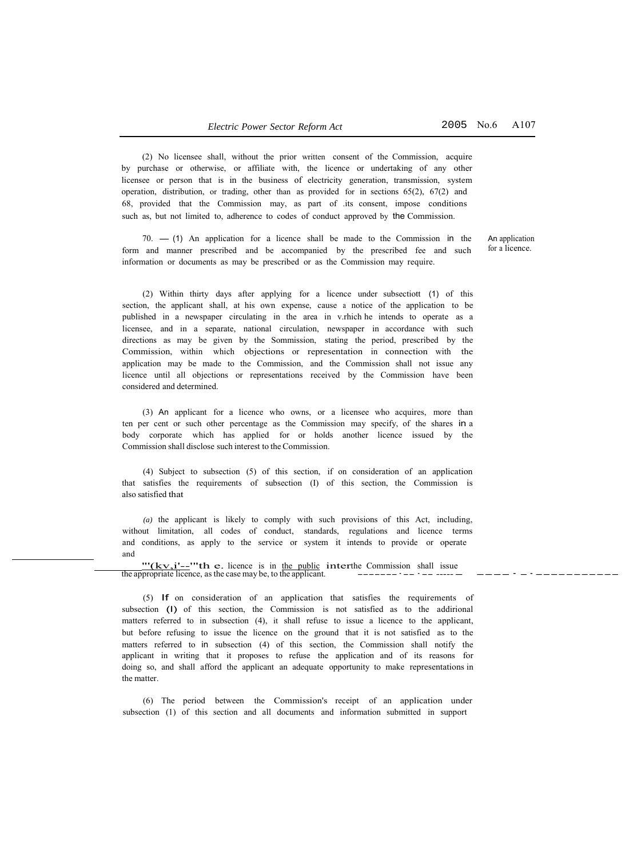(2) No licensee shall, without the prior written consent of the Commission, acquire by purchase or otherwise, or affiliate with, the licence or undertaking of any other licensee or person that is in the business of electricity generation, transmission, system operation, distribution, or trading, other than as provided for in sections  $65(2)$ ,  $67(2)$  and 68, provided that the Commission may, as part of .its consent, impose conditions such as, but not limited to, adherence to codes of conduct approved by the Commission.

 $70. - (1)$  An application for a licence shall be made to the Commission in the form and manner prescribed and be accompanied by the prescribed fee and such information or documents as may be prescribed or as the Commission may require.

An application for a licence.

(2) Within thirty days after applying for a licence under subsectiott (1) of this section, the applicant shall, at his own expense, cause a notice of the application to be published in a newspaper circulating in the area in v.rhich he intends to operate as a licensee, and in a separate, national circulation, newspaper in accordance with such directions as may be given by the Sommission, stating the period, prescribed by the Commission, within which objections or representation in connection with the application may be made to the Commission, and the Commission shall not issue any licence until all objections or representations received by the Commission have been considered and determined.

(3) An applicant for a licence who owns, or a licensee who acquires, more than ten per cent or such other percentage as the Commission may specify, of the shares in a body corporate which has applied for or holds another licence issued by the Commission shall disclose such interest to the Commission.

(4) Subject to subsection (5) of this section, if on consideration of an application that satisfies the requirements of subsection (I) of this section, the Commission is also satisfied that

*(a)* the applicant is likely to comply with such provisions of this Act, including, without limitation, all codes of conduct, standards, regulations and licence terms and conditions, as apply to the service or system it intends to provide or operate and

 $\frac{'''(kv,i'--"th e.$  licence is in the public interthe Commission shall issue<br>the appropriate licence, as the case may be, to the applicant.

(5) If on consideration of an application that satisfies the requirements of subsection (l) of this section, the Commission is not satisfied as to the addirional matters referred to in subsection (4), it shall refuse to issue a licence to the applicant, but before refusing to issue the licence on the ground that it is not satisfied as to the matters referred to in subsection (4) of this section, the Commission shall notify the applicant in writing that it proposes to refuse the application and of its reasons for doing so, and shall afford the applicant an adequate opportunity to make representations in the matter.

(6) The period between the Commission's receipt of an application under subsection (1) of this section and all documents and information submitted in support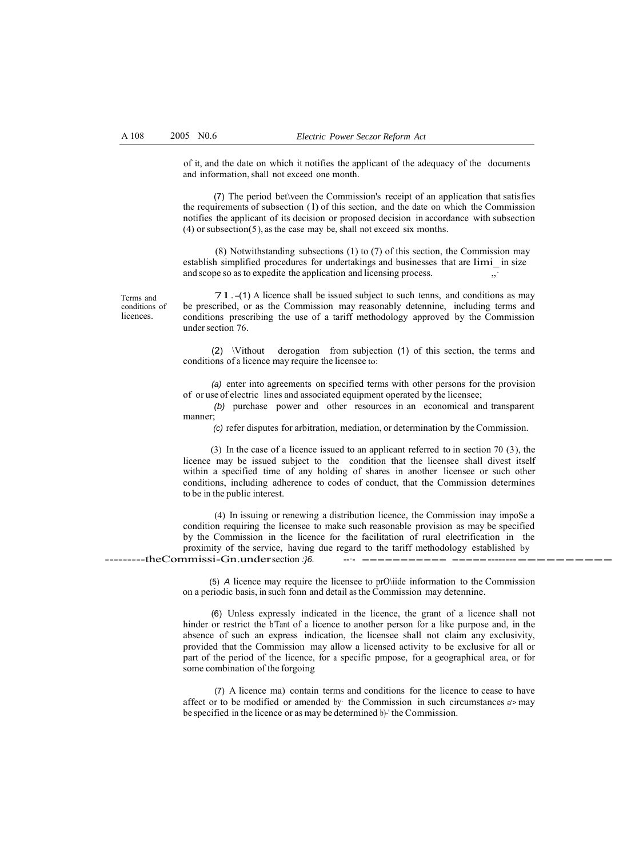of it, and the date on which it notifies the applicant of the adequacy of the documents and information, shall not exceed one month.

(7) The period bet\veen the Commission's receipt of an application that satisfies the requirements of subsection ( l) of this section, and the date on which the Commission notifies the applicant of its decision or proposed decision in accordance with subsection  $(4)$  or subsection $(5)$ , as the case may be, shall not exceed six months.

(8) Notwithstanding subsections (1) to (7) of this section, the Commission may establish simplified procedures for undertakings and businesses that are limi\_ in size and scope so as to expedite the application and licensing process.

Terms and conditions of licences.

71.-(1) <sup>A</sup>licence shall be issued subject to such tenns, and conditions as may be prescribed, or as the Commission may reasonably detennine, including terms and conditions prescribing the use of a tariff methodology approved by the Commission under section 76.

(2) \Vithout derogation from subjection (1) of this section, the terms and conditions of a licence may require the licensee to:

*(a)* enter into agreements on specified terms with other persons for the provision of or use of electric lines and associated equipment operated by the licensee;

*(b)* purchase power and other resources in an economical and transparent manner;

*(c)* refer disputes for arbitration, mediation, or determination by the Commission.

(3) In the case of a licence issued to an applicant referred to in section 70 (3), the licence may be issued subject to the condition that the licensee shall divest itself within a specified time of any holding of shares in another licensee or such other conditions, including adherence to codes of conduct, that the Commission determines to be in the public interest.

(4) In issuing or renewing a distribution licence, the Commission inay impoSe a condition requiring the licensee to make such reasonable provision as may be specified by the Commission in the licence for the facilitation of rural electrification in the proximity of the service, having due regard to the tariff methodology established by ---------theCommissi-Gn.under section *:}6.* --·- ----------- -----------------------

> (5) *A* licence may require the licensee to prO\iide information to the Commission on a periodic basis, in such fonn and detail as the Commission may detennine.

> (6) Unless expressly indicated in the licence, the grant of a licence shall not hinder or restrict the b'Tant of a licence to another person for a like purpose and, in the absence of such an express indication, the licensee shall not claim any exclusivity, provided that the Commission may allow a licensed activity to be exclusive for all or part of the period of the licence, for a specific pmpose, for a geographical area, or for some combination of the forgoing

> (7) A licence ma) contain terms and conditions for the licence to cease to have affect or to be modified or amended by· the Commission in such circumstances a'> may be specified in the licence or as may be determined b)-' the Commission.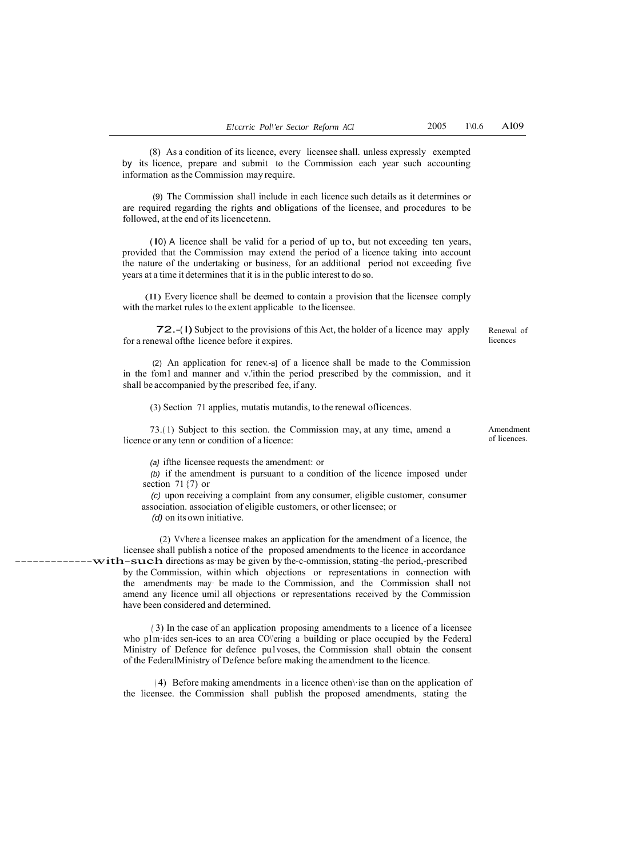(8) As a condition of its licence, every licensee shall. unless expressly exempted by its licence, prepare and submit to the Commission each year such accounting information as the Commission may require.

(9) The Commission shall include in each licence such details as it determines or are required regarding the rights and obligations of the licensee, and procedures to be followed, at the end of its licencetenn.

( l0) A licence shall be valid for a period of up to, but not exceeding ten years, provided that the Commission may extend the period of a licence taking into account the nature of the undertaking or business, for an additional period not exceeding five years at a time it determines that it is in the public interest to do so.

(II) Every licence shall be deemed to contain a provision that the licensee comply with the market rules to the extent applicable to the licensee.

72.-( l) Subject to the provisions of this Act, the holder of <sup>a</sup>licence may apply for a renewal ofthe licence before it expires.

(2) An application for renev..-a] of a licence shall be made to the Commission in the fom1 and manner and v.'ithin the period prescribed by the commission, and it shall be accompanied by the prescribed fee, if any.

(3) Section 71 applies, mutatis mutandis, to the renewal oflicences.

73.( 1) Subject to this section. the Commission may, at any time, amend a licence or any tenn or condition of a licence:

*(a}* ifthe licensee requests the amendment: or

*(b)* if the amendment is pursuant to a condition of the licence imposed under section 71 $\{7\}$  or

*(c)* upon receiving a complaint from any consumer, eligible customer, consumer association. association of eligible customers, or other licensee; or

*(d)* on its own initiative.

(2) Vv'here a licensee makes an application for the amendment of a licence, the licensee shall publish a notice of the proposed amendments to the licence in accordance  $---with$ -such directions as may be given by the-c-ommission, stating -the period,-prescribed by the Commission, within which objections or representations in connection with the amendments may· be made to the Commission, and the Commission shall not amend any licence umil all objections or representations received by the Commission have been considered and determined.

> *(* 3) In the case of an application proposing amendments to a licence of a licensee who p1m·ides sen-ices to an area CO\'ering a building or place occupied by the Federal Ministry of Defence for defence pu1voses, the Commission shall obtain the consent of the FederalMinistry of Defence before making the amendment to the licence.

> ( 4) Before making amendments in a licence othen\·ise than on the application of the licensee. the Commission shall publish the proposed amendments, stating the

Renewal of licences

Amendment of licences.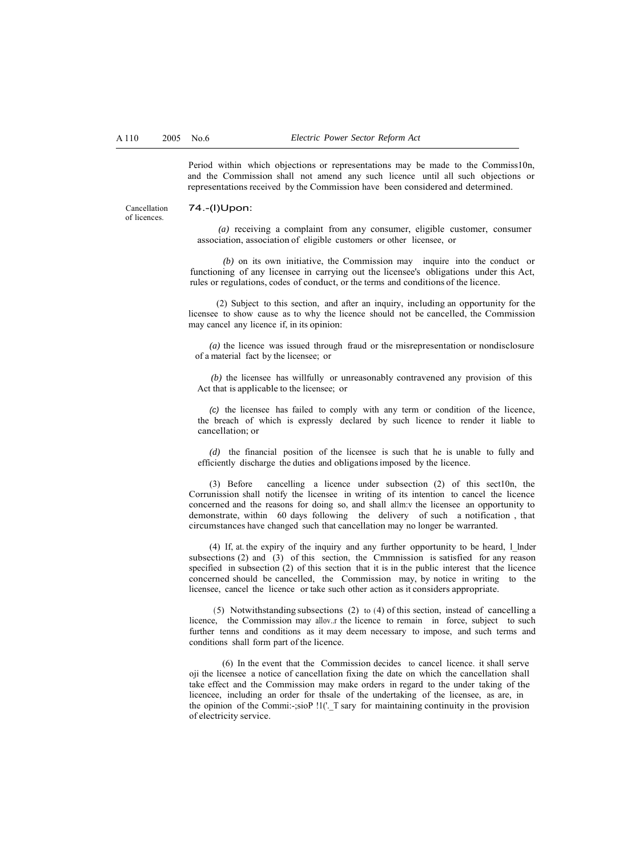Period within which objections or representations may be made to the Commiss10n, and the Commission shall not amend any such licence until all such objections or representations received by the Commission have been considered and determined.

Cancellation of licences.

# 74.-(l)Upon:

*(a)* receiving a complaint from any consumer, eligible customer, consumer association, association of eligible customers or other licensee, or

*(b)* on its own initiative, the Commission may inquire into the conduct or functioning of any licensee in carrying out the licensee's obligations under this Act, rules or regulations, codes of conduct, or the terms and conditions of the licence.

(2) Subject to this section, and after an inquiry, including an opportunity for the licensee to show cause as to why the licence should not be cancelled, the Commission may cancel any licence if, in its opinion:

*(a)* the licence was issued through fraud or the misrepresentation or nondisclosure of a material fact by the licensee; or

*(b)* the licensee has willfully or unreasonably contravened any provision of this Act that is applicable to the licensee; or

*(c)* the licensee has failed to comply with any term or condition of the licence, the breach of which is expressly declared by such licence to render it liable to cancellation; or

*(d)* the financial position of the licensee is such that he is unable to fully and efficiently discharge the duties and obligations imposed by the licence.

(3) Before cancelling a licence under subsection (2) of this sect10n, the Corrunission shall notify the licensee in writing of its intention to cancel the licence concerned and the reasons for doing so, and shall allm:v the licensee an opportunity to demonstrate, within 60 days following the delivery of such a notification , that circumstances have changed such that cancellation may no longer be warranted.

(4) If, at. the expiry of the inquiry and any further opportunity to be heard, l\_lnder subsections (2) and  $(3)$  of this section, the Cmmnission is satisfied for any reason specified in subsection (2) of this section that it is in the public interest that the licence concerned should be cancelled, the Commission may, by notice in writing to the licensee, cancel the licence or take such other action as it considers appropriate.

( 5) Notwithstanding subsections (2) to (4) of this section, instead of cancelling a licence, the Commission may allov..r the licence to remain in force, subject to such further tenns and conditions as it may deem necessary to impose, and such terms and conditions shall form part of the licence.

(6) In the event that the Commission decides to cancel licence. it shall serve oji the licensee a notice of cancellation fixing the date on which the cancellation shall take effect and the Commission may make orders in regard to the under taking of the licencee, including an order for thsale of the undertaking of the licensee, as are, in the opinion of the Commi:-;siop  $1$ ! $($ . T sary for maintaining continuity in the provision of electricity service.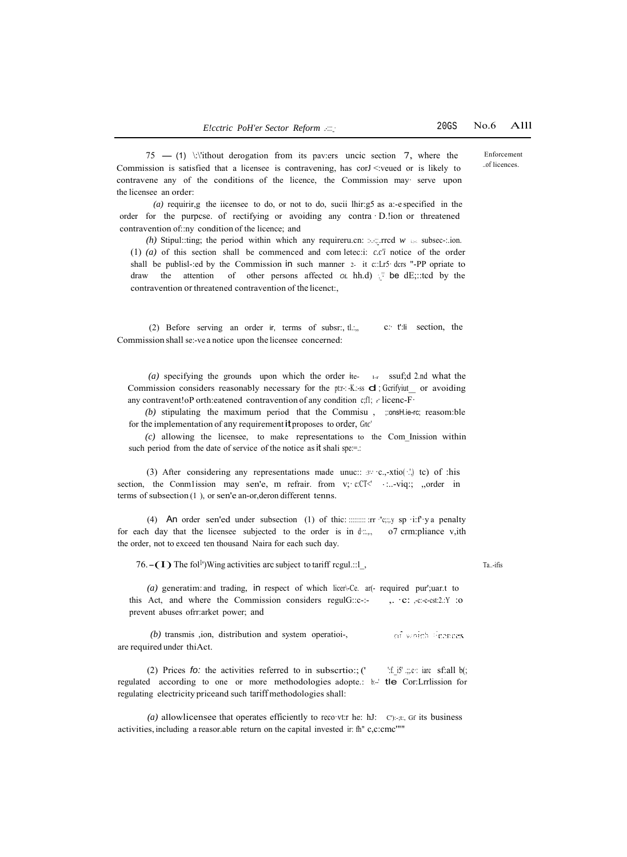Enforcement ..of licences.

 $75$  - (1) \: \'ithout derogation from its pav:ers uncic section 7, where the Commission is satisfied that a licensee is contravening, has corJ <: veued or is likely to contravene any of the conditions of the licence, the Commission may· serve upon the licensee an order:

*(a)* requirir,g the iicensee to do, or not to do, sucii lhir:g5 as a:-e specified in the order for the purpcse. of rectifying or avoiding any contra · D.!ion or threatened contravention of::ny condition of the licence; and

*(h)* Stipul::ting; the period within which any requireru.cn:  $\therefore$  rrcd  $w \in$  subsec-:.ion. (1) *(a)* of this section shall be commenced and com letec:i: *c.c'i* notice of the order shall be publisl-:ed by the Commission in such manner 2- it c::Lr5· dcrs "-PP opriate to draw the attention of other persons affected  $\sigma$ L hh.d) <sup>1</sup> be dE;::tcd by the contravention or threatened contravention of the licenct:,

(2) Before serving an order ir, terms of subsr:, tl.:,, Commission shall se:-ve a notice upon the licensee concerned: c*:·* t':li section, the

*(a)* specifying the grounds upon which the order ite- l-r ssuf;d 2.nd what the Commission considers reasonably necessary for the pt:r-: -K.:-ss **d**; Gcrifyiut\_ or avoiding any contravent!oP orth:eatened contravention of any condition c;f1; *e"* licenc-F·

(b) stipulating the maximum period that the Commisu, ;:onsH.ie-rc; reasom:ble for the implementation of any requirementitproposes to order, *Gnc'*

*(c)* allowing the licensee, to make representations to the Com\_Inission within such period from the date of service of the notice as it shali spe:=.:

(3) After considering any representations made unuc::  $3! \cdot c$ ,-xtio( $\cdot$ .) tc) of :his section, the Conmlission may sen'e, m refrair. from v; c:CT< ...-viq:; ,,order in terms of subsection (1 ), or sen'e an-or,deron different tenns.

(4) An order sen'ed under subsection (1) of thic: :::::::::: :rr ·"c;:;.y sp ·i:f'·y a penalty for each day that the licensee subjected to the order is in  $d$ :..., o7 crm:pliance v,ith the order, not to exceed ten thousand Naira for each such day.

76. $-(I)$  The fol<sup>1</sup>)Wing activities arc subject to tariff rcgul.::1<sub>\_</sub>, Ta..-ifis

*(a)* generatim: and trading, in respect of which licer\-Ce. ar(- required pur';uar.t to this Act, and where the Commission considers regulG::c-:- ,. · c: ,-c:-c-cst:2.:Y :0 prevent abuses ofrr:arket power; and

*(b)* transmis ,ion, distribution and system operatioi-, of which Fearnes are required under thiAct.

(2) Prices *fo:* the activities referred to in subscrtio:; (' ':f.\_i5' .;;.c: iarc sf:all b(; regulated according to one or more methodologies adopte.: b:-' tle Cor:Lrrlission for regulating electricity priceand such tariff methodologies shall:

*(a)* allowlicensee that operates efficiently to reco·vt:r he: hJ: C'):-;t:, Gf its business activities, including a reasor.able return on the capital invested ir: fh" c,c:cmc'""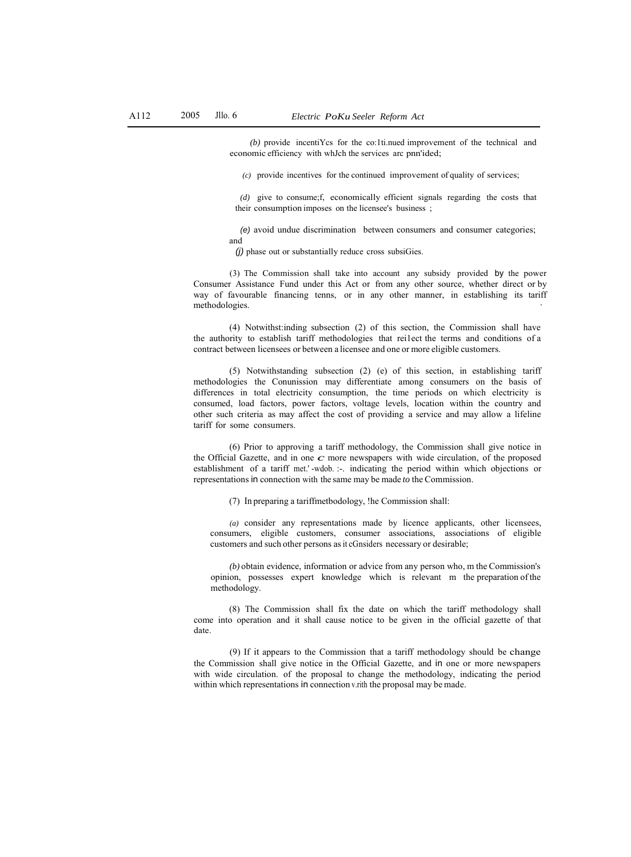*(b)* provide incentiYcs for the co:1ti.nued improvement of the technical and economic efficiency with whJch the services arc pnn'ided;

*(c)* provide incentives for the continued improvement of quality of services;

*(d)* give to consume;f, economically efficient signals regarding the costs that their consumption imposes on the licensee's business ;

*(e)* avoid undue discrimination between consumers and consumer categories; and

*(j)* phase out or substantially reduce cross subsiGies.

(3) The Commission shall take into account any subsidy provided by the power Consumer Assistance Fund under this Act or from any other source, whether direct or by way of favourable financing tenns, or in any other manner, in establishing its tariff methodologies.

(4) Notwithst:inding subsection (2) of this section, the Commission shall have the authority to establish tariff methodologies that rei1ect the terms and conditions of a contract between licensees or between a licensee and one or more eligible customers.

(5) Notwithstanding subsection (2) (e) of this section, in establishing tariff methodologies the Conunission may differentiate among consumers on the basis of differences in total electricity consumption, the time periods on which electricity is consumed, load factors, power factors, voltage levels, location within the country and other such criteria as may affect the cost of providing a service and may allow a lifeline tariff for some consumers.

(6) Prior to approving a tariff methodology, the Commission shall give notice in the Official Gazette, and in one  $c$  more newspapers with wide circulation, of the proposed establishment of a tariff met.' -wdob. :-. indicating the period within which objections or representations in connection with the same may be made *to* the Commission.

(7) In preparing a tariffmetbodology, !he Commission shall:

*(a)* consider any representations made by licence applicants, other licensees, consumers, eligible customers, consumer associations, associations of eligible customers and such other persons as it cGnsiders necessary or desirable;

*(b)* obtain evidence, information or advice from any person who, m the Commission's opinion, possesses expert knowledge which is relevant m the preparation of the methodology.

(8) The Commission shall fix the date on which the tariff methodology shall come into operation and it shall cause notice to be given in the official gazette of that date.

(9) If it appears to the Commission that a tariff methodology should be change the Commission shall give notice in the Official Gazette, and in one or more newspapers with wide circulation. of the proposal to change the methodology, indicating the period within which representations in connection v.rith the proposal may be made.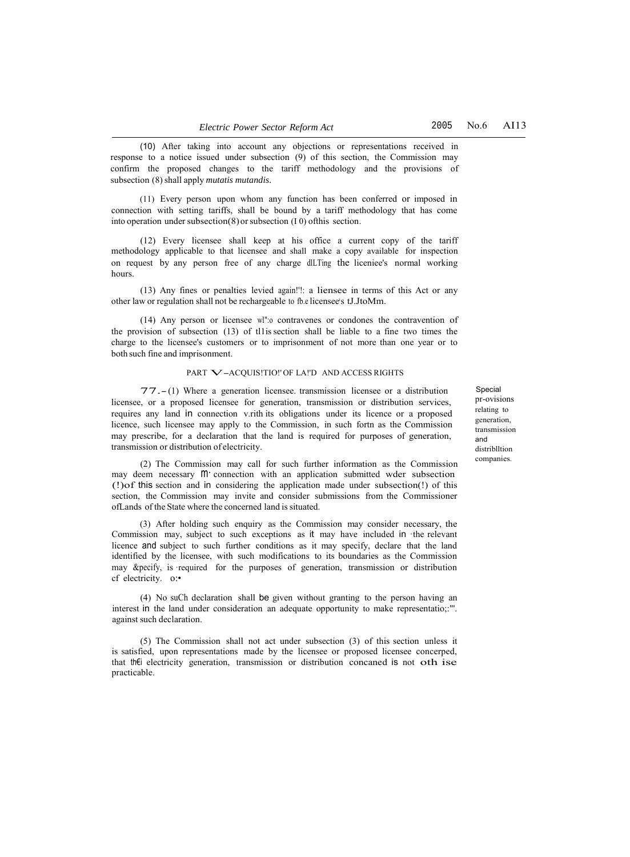(10) After taking into account any objections or representations received in response to a notice issued under subsection (9) of this section, the Commission may confirm the proposed changes to the tariff methodology and the provisions of subsection (8) shall apply *mutatis mutandis.*

(11) Every person upon whom any function has been conferred or imposed in connection with setting tariffs, shall be bound by a tariff methodology that has come into operation under subsection(8)or subsection (I 0) ofthis section.

(12) Every licensee shall keep at his office a current copy of the tariff methodology applicable to that licensee and shall make a copy available for inspection on request by any person free of any charge dlLTing the liceniee's normal working hours.

(13) Any fines or penalties levied again!'!: a liensee in terms of this Act or any other law or regulation shall not be rechargeable to fb.e licensee's tJ.JtoMm.

(14) Any person or licensee wl":o contravenes or condones the contravention of the provision of subsection (13) of tl1is section shall be liable to a fine two times the charge to the licensee's customers or to imprisonment of not more than one year or to both such fine and imprisonment.

#### PART V-ACQUIS!TIO!' OF LA!'D AND ACCESS RIGHTS

77.- (1) Where a generation licensee. transmission licensee or a distribution licensee, or a proposed licensee for generation, transmission or distribution services, requires any land in connection v.rith its obligations under its licence or a proposed licence, such licensee may apply to the Commission, in such fortn as the Commission may prescribe, for a declaration that the land is required for purposes of generation, transmission or distribution of electricity.

(2) The Commission may call for such further information as the Commission may deem necessary  $M'$  connection with an application submitted wder subsection (!)of this section and in considering the application made under subsection(!) of this section, the Commission may invite and consider submissions from the Commissioner ofLands of the State where the concerned land is situated.

(3) After holding such enquiry as the Commission may consider necessary, the Commission may, subject to such exceptions as it may have included in ·the relevant licence and subject to such further conditions as it may specify, declare that the land identified by the licensee, with such modifications to its boundaries as the Commission may &pecify, is ·required for the purposes of generation, transmission or distribution cf electricity. o:•

(4) No suCh declaration shall be given without granting to the person having an interest in the land under consideration an adequate opportunity to make representatio;:"'. against such declaration.

(5) The Commission shall not act under subsection (3) of this section unless it is satisfied, upon representations made by the licensee or proposed licensee concerped, that th€i electricity generation, transmission or distribution concaned is not oth ise practicable.

**Special** pr-ovisions relating to generation, transmission and distriblltion companies.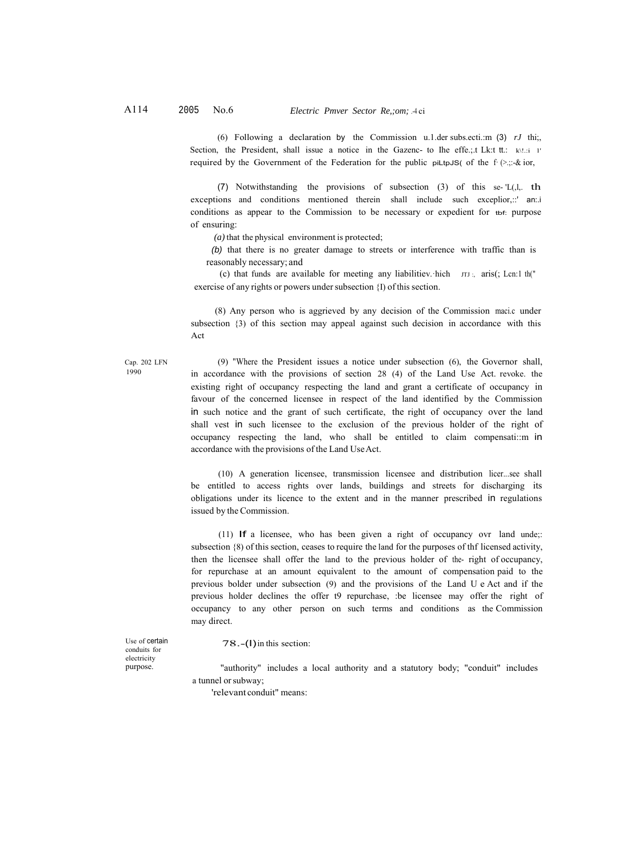(6) Following a declaration by the Commission u.1.der subs.ecti.:m (3) *rJ* thi;, Section, the President, shall issue a notice in the Gazenc- to Ihe effe.;.t Lk:t tt.: k\!.:i 1' required by the Government of the Federation for the public piLtpJS( of the f· $(\geq, \therefore, \& \text{ior}, \)$ 

(7) Notwithstanding the provisions of subsection (3) of this se- 'L(,l,. th exceptions and conditions mentioned therein shall include such exceplior,::' an:.i conditions as appear to the Commission to be necessary or expedient for tbf: purpose of ensuring:

*(a)* that the physical environment is protected;

*(b)* that there is no greater damage to streets or interference with traffic than is reasonably necessary; and

(c) that funds are available for meeting any liabilitiev. hich  $\pi$ J :, aris(; Lcn:1 th(") exercise of any rights or powers under subsection {I) of this section.

(8) Any person who is aggrieved by any decision of the Commission maci.c under subsection {3) of this section may appeal against such decision in accordance with this Act

Cap. 202 LFN (9) "Where the President issues a notice under subsection (6), the Governor shall, in accordance with the provisions of section 28 (4) of the Land Use Act. revoke. the existing right of occupancy respecting the land and grant a certificate of occupancy in favour of the concerned licensee in respect of the land identified by the Commission in such notice and the grant of such certificate, the right of occupancy over the land shall vest in such licensee to the exclusion of the previous holder of the right of occupancy respecting the land, who shall be entitled to claim compensati::m in accordance with the provisions of the Land Use Act.

> (10) A generation licensee, transmission licensee and distribution licer...see shall be entitled to access rights over lands, buildings and streets for discharging its obligations under its licence to the extent and in the manner prescribed in regulations issued by the Commission.

> (11) If a licensee, who has been given a right of occupancy ovr land unde;: subsection {8) of this section, ceases to require the land for the purposes of thf licensed activity, then the licensee shall offer the land to the previous holder of the- right of occupancy, for repurchase at an amount equivalent to the amount of compensation paid to the previous bolder under subsection (9) and the provisions of the Land U e Act and if the previous holder declines the offer t9 repurchase, :be licensee may offer the right of occupancy to any other person on such terms and conditions as the Commission may direct.

Use of certain conduits for electricity purpose.

1990

78.-(I)in this section:

"authority" includes a local authority and a statutory body; "conduit" includes a tunnel or subway;

'relevant conduit" means: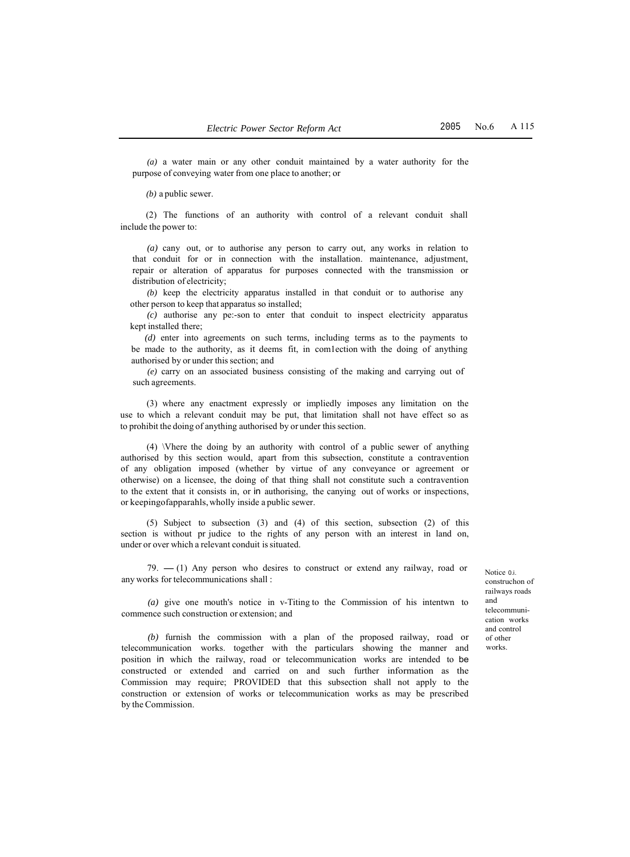*(a)* a water main or any other conduit maintained by a water authority for the purpose of conveying water from one place to another; or

*(b)* a public sewer.

(2) The functions of an authority with control of a relevant conduit shall include the power to:

*(a)* cany out, or to authorise any person to carry out, any works in relation to that conduit for or in connection with the installation. maintenance, adjustment, repair or alteration of apparatus for purposes connected with the transmission or distribution of electricity;

*(b)* keep the electricity apparatus installed in that conduit or to authorise any other person to keep that apparatus so installed;

*(c)* authorise any pe:-son to enter that conduit to inspect electricity apparatus kept installed there;

*(d)* enter into agreements on such terms, including terms as to the payments to be made to the authority, as it deems fit, in com1ection with the doing of anything authorised by or under this section; and

*(e)* carry on an associated business consisting of the making and carrying out of such agreements.

(3) where any enactment expressly or impliedly imposes any limitation on the use to which a relevant conduit may be put, that limitation shall not have effect so as to prohibit the doing of anything authorised by or under this section.

(4) \Vhere the doing by an authority with control of a public sewer of anything authorised by this section would, apart from this subsection, constitute a contravention of any obligation imposed (whether by virtue of any conveyance or agreement or otherwise) on a licensee, the doing of that thing shall not constitute such a contravention to the extent that it consists in, or in authorising, the canying out of works or inspections, or keepingofapparahls, wholly inside a public sewer.

(5) Subject to subsection (3) and (4) of this section, subsection (2) of this section is without pr judice to the rights of any person with an interest in land on, under or over which a relevant conduit issituated.

79.  $- (1)$  Any person who desires to construct or extend any railway, road or any works for telecommunications shall :

*(a)* give one mouth's notice in v-Titing to the Commission of his intentwn to commence such construction or extension; and

*(b)* furnish the commission with a plan of the proposed railway, road or telecommunication works. together with the particulars showing the manner and position in which the railway, road or telecommunication works are intended to be constructed or extended and carried on and such further information as the Commission may require; PROVIDED that this subsection shall not apply to the construction or extension of works or telecommunication works as may be prescribed by the Commission.

Notice 0.i. construchon of railways roads and telecommunication works and control of other works.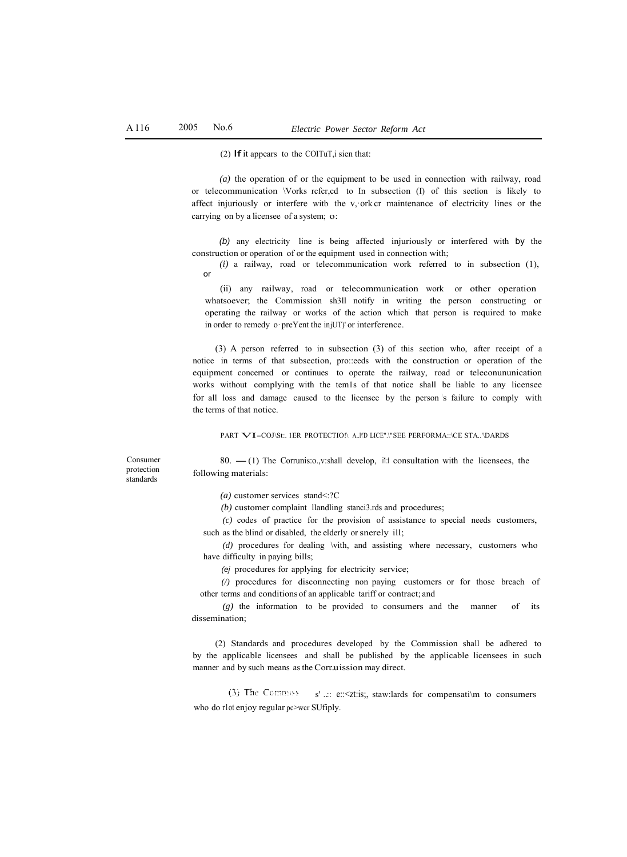(2) If it appears to the COITuT, i sien that:

*(a)* the operation of or the equipment to be used in connection with railway, road or telecommunication \Vorks rcfcr,cd to In subsection (I) of this section is likely to affect injuriously or interfere witb the v, ork cr maintenance of electricity lines or the carrying on by a licensee of a system; o:

*(b)* any electricity line is being affected injuriously or interfered with by the construction or operation of or the equipment used in connection with;

*(i)* a railway, road or telecommunication work referred to in subsection (1), or

(ii) any railway, road or telecommunication work or other operation whatsoever; the Commission sh3ll notify in writing the person constructing or operating the railway or works of the action which that person is required to make in order to remedy o·preYent the injUT)' or interference.

(3) A person referred to in subsection (3) of this section who, after receipt of a notice in terms of that subsection, pro::eeds with the construction or operation of the equipment concerned or continues to operate the railway, road or teleconununication works without complying with the tem1s of that notice shall be liable to any licensee for all loss and damage caused to the licensee by the person 's failure to comply with the terms of that notice.

PART **VI-COJ\St:. 1ER PROTECTIO!\ A..l\'D LICE".\" SEE PERFORMA::\CE STA..'\DARDS** 

80.  $-$ (1) The Corrunis: o., v:shall develop, it t consultation with the licensees, the

Consumer protection standards

following materials:

*(a)* customer services stand<:?C *(b)* customer complaint llandling stanci3.rds and procedures;

*(c)* codes of practice for the provision of assistance to special needs customers,

such as the blind or disabled, the elderly or snerely ill;

*(d)* procedures for dealing \vith, and assisting where necessary, customers who have difficulty in paying bills;

*(ej* procedures for applying for electricity service;

*(/)* procedures for disconnecting non paying customers or for those breach of other terms and conditions of an applicable tariff or contract; and

*(g)* the information to be provided to consumers and the manner of its dissemination;

(2) Standards and procedures developed by the Commission shall be adhered to by the applicable licensees and shall be published by the applicable licensees in such manner and by such means as the Corr.u. ission may direct.

(3) The Commiss  $s'$  ..:: e::<zt:is;, staw:lards for compensati\m to consumers who do rlot enjoy regular pc>wcr SUfiply.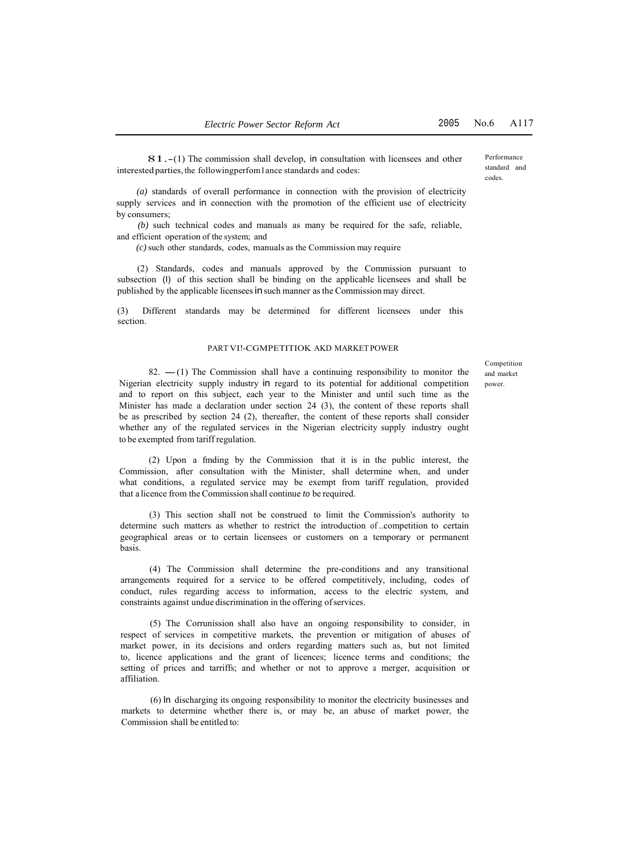Performance standard and codes.

81.-(1) The commission shall develop, in consultation with licensees and other interestedparties, the followingperfom1ance standards and codes:

*(a)* standards of overall performance in connection with the provision of electricity supply services and in connection with the promotion of the efficient use of electricity by consumers;

*(b)* such technical codes and manuals as many be required for the safe, reliable, and efficient operation of the system; and

*(c)* such other standards, codes, manuals as the Commission may require

(2) Standards, codes and manuals approved by the Commission pursuant to subsection (I) of this section shall be binding on the applicable licensees and shall be published by the applicable licensees insuch manner as the Commission may direct.

(3) Different standards may be determined for different licensees under this section.

#### PART VI!-CGMPETITIOK AKD MARKET POWER

82.  $-(1)$  The Commission shall have a continuing responsibility to monitor the Nigerian electricity supply industry in regard to its potential for additional competition and to report on this subject, each year to the Minister and until such time as the Minister has made a declaration under section 24 (3), the content of these reports shall be as prescribed by section 24 (2), thereafter, the content of these reports shall consider whether any of the regulated services in the Nigerian electricity supply industry ought to be exempted from tariff regulation.

(2) Upon a fmding by the Commission that it is in the public interest, the Commission, after consultation with the Minister, shall determine when, and under what conditions, a regulated service may be exempt from tariff regulation, provided that a licence from the Commission shall continue *to* be required.

(3) This section shall not be construed to limit the Commission's authority to determine such matters as whether to restrict the introduction of ..competition to certain geographical areas or to certain licensees or customers on a temporary or permanent basis.

(4) The Commission shall determine the pre-conditions and any transitional arrangements required for a service to be offered competitively, including, codes of conduct, rules regarding access to information, access to the electric system, and constraints against undue discrimination in the offering of services.

(5) The Corrunission shall also have an ongoing responsibility to consider, in respect of services in competitive markets, the prevention or mitigation of abuses of market power, in its decisions and orders regarding matters such as, but not limited to, licence applications and the grant of licences; licence terms and conditions; the setting of prices and tarriffs; and whether or not to approve a merger, acquisition or affiliation.

(6) In discharging its ongoing responsibility to monitor the electricity businesses and markets to determine whether there is, or may be, an abuse of market power, the Commission shall be entitled to:

Competition and market power.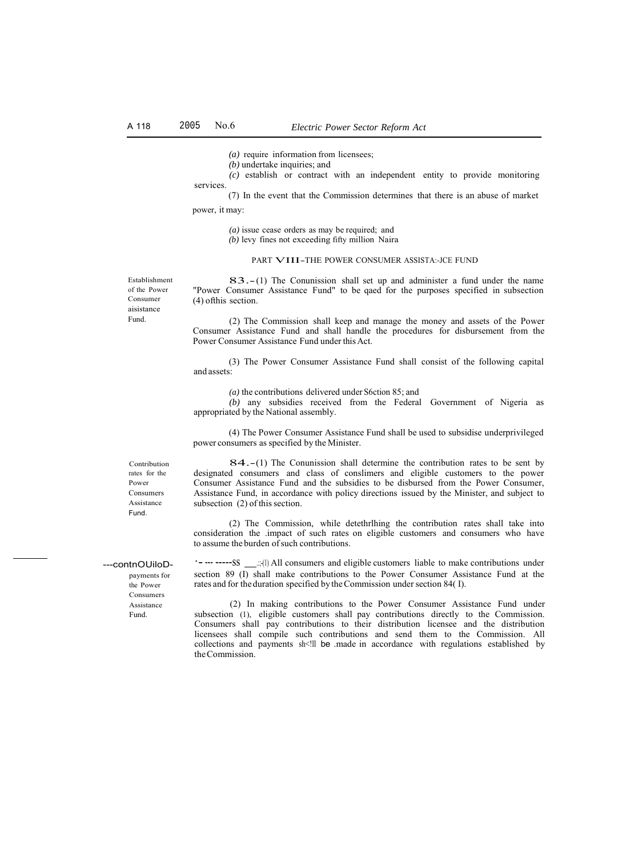*(a)* require information from licensees;

*(b)* undertake inquiries; and

services. *(c)* establish or contract with an independent entity to provide monitoring

(7) In the event that the Commission determines that there is an abuse of market power, it may:

*(a)* issue cease orders as may be required; and

*(b)* levy fines not exceeding fifty million Naira

### PART VIII-THE POWER CONSUMER ASSISTA:-JCE FUND

Establishment of the Power Consumer aisistance Fund.

83.- (1) The Conunission shall set up and administer a fund under the name "Power Consumer Assistance Fund" to be qaed for the purposes specified in subsection (4) ofthis section.

(2) The Commission shall keep and manage the money and assets of the Power Consumer Assistance Fund and shall handle the procedures for disbursement from the Power Consumer Assistance Fund under this Act.

(3) The Power Consumer Assistance Fund shall consist of the following capital and assets:

*(a)* the contributions delivered under S6ction 85; and

*(b)* any subsidies received from the Federal Government of Nigeria as appropriated by the National assembly.

(4) The Power Consumer Assistance Fund shall be used to subsidise underprivileged power consumers as specified by the Minister.

84.-(1) The Conunission shall determine the contribution rates to be sent by designated consumers and class of conslimers and eligible customers to the power Consumer Assistance Fund and the subsidies to be disbursed from the Power Consumer, Assistance Fund, in accordance with policy directions issued by the Minister, and subject to subsection (2) of this section.

(2) The Commission, while detethrlhing the contribution rates shall take into consideration the .impact of such rates on eligible customers and consumers who have to assume the burden of such contributions.

\*- --- -----SS \_\_\_;;(1) All consumers and eligible customers liable to make contributions under section 89 (I) shall make contributions to the Power Consumer Assistance Fund at the rates and for the duration specified by the Commission under section 84( I).

(2) In making contributions to the Power Consumer Assistance Fund under subsection (1), eligible customers shall pay contributions directly to the Commission. Consumers shall pay contributions to their distribution licensee and the distribution licensees shall compile such contributions and send them to the Commission. All collections and payments sh<!!! be .made in accordance with regulations established by the Commission.

Contribution rates for the Power Consumers Assistance Fund.

---contnOUiloD-

payments for the Power Consumers Assistance Fund.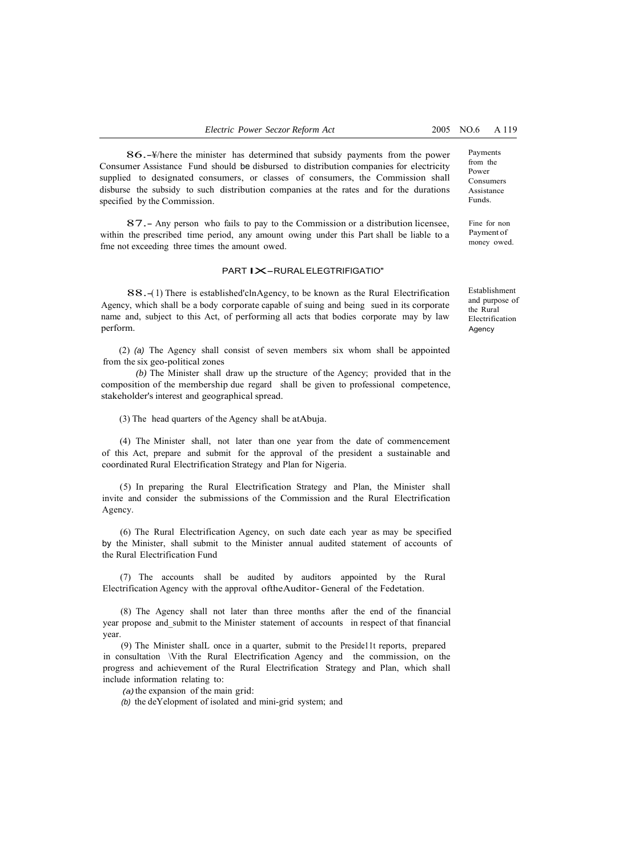86.-¥/here the minister has determined that subsidy payments from the power Consumer Assistance Fund should be disbursed to distribution companies for electricity supplied to designated consumers, or classes of consumers, the Commission shall disburse the subsidy to such distribution companies at the rates and for the durations specified by the Commission.

87.- Any person who fails to pay to the Commission or a distribution licensee, within the prescribed time period, any amount owing under this Part shall be liable to a fme not exceeding three times the amount owed.

#### PART IX-RURAL ELEGTRIFIGATIO"

88.-(1) There is established'clnAgency, to be known as the Rural Electrification Agency, which shall be a body corporate capable of suing and being sued in its corporate name and, subject to this Act, of performing all acts that bodies corporate may by law perform.

(2) *(a)* The Agency shall consist of seven members six whom shall be appointed from the six geo-political zones

*(b)* The Minister shall draw up the structure of the Agency; provided that in the composition of the membership due regard shall be given to professional competence, stakeholder's interest and geographical spread.

(3) The head quarters of the Agency shall be atAbuja.

(4) The Minister shall, not later than one year from the date of commencement of this Act, prepare and submit for the approval of the president a sustainable and coordinated Rural Electrification Strategy and Plan for Nigeria.

(5) In preparing the Rural Electrification Strategy and Plan, the Minister shall invite and consider the submissions of the Commission and the Rural Electrification Agency.

(6) The Rural Electrification Agency, on such date each year as may be specified by the Minister, shall submit to the Minister annual audited statement of accounts of the Rural Electrification Fund

(7) The accounts shall be audited by auditors appointed by the Rural Electrification Agency with the approval oftheAuditor- General of the Fedetation.

(8) The Agency shall not later than three months after the end of the financial year propose and\_submit to the Minister statement of accounts in respect of that financial year.

(9) The Minister shalL once in a quarter, submit to the Preside11t reports, prepared in consultation \Vith the Rural Electrification Agency and the commission, on the progress and achievement of the Rural Electrification Strategy and Plan, which shall include information relating to:

*(a)* the expansion of the main grid:

*(b)* the deYelopment of isolated and mini-grid system; and

Payments from the Power Consumers Assistance Funds.

Fine for non Payment of money owed.

Establishment and purpose of the Rural Electrification Agency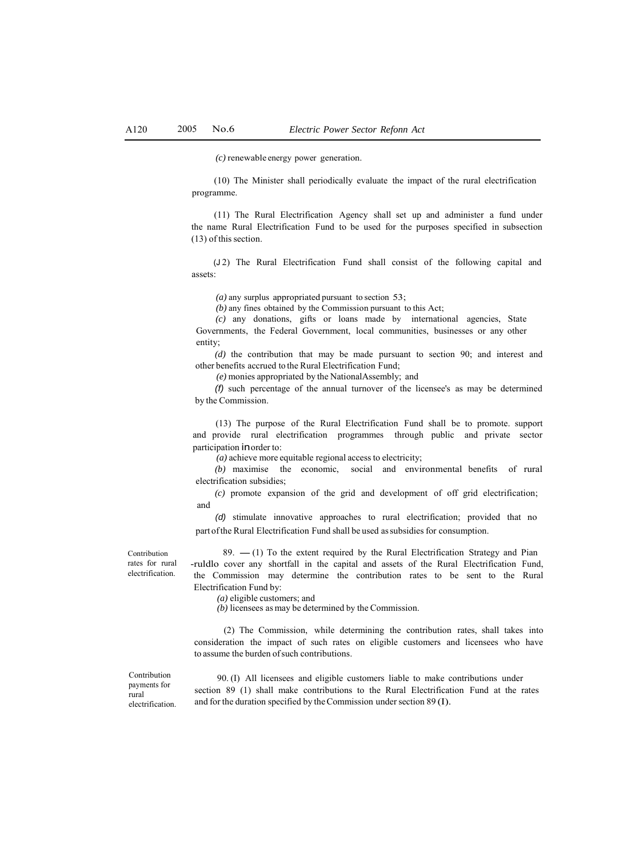*(c)* renewable energy power generation.

(10) The Minister shall periodically evaluate the impact of the rural electrification programme.

(11) The Rural Electrification Agency shall set up and administer a fund under the name Rural Electrification Fund to be used for the purposes specified in subsection (13) of this section.

(J 2) The Rural Electrification Fund shall consist of the following capital and assets:

*(a)* any surplus appropriated pursuant to section 53;

*(b)* any fines obtained by the Commission pursuant to this Act;

*(c)* any donations, gifts or loans made by international agencies, State Governments, the Federal Government, local communities, businesses or any other entity;

*(d)* the contribution that may be made pursuant to section 90; and interest and other benefits accrued to the Rural Electrification Fund;

*(e)* monies appropriated by the NationalAssembly; and

*(f)* such percentage of the annual turnover of the licensee's as may be determined by the Commission.

(13) The purpose of the Rural Electrification Fund shall be to promote. support and provide rural electrification programmes through public and private sector participation inorder to:

*(a)* achieve more equitable regional access to electricity;

*(b)* maximise the economic, social and environmental benefits of rural electrification subsidies;

*(c)* promote expansion of the grid and development of off grid electrification; and

*(d)* stimulate innovative approaches to rural electrification; provided that no part of the Rural Electrification Fund shall be used assubsidies for consumption.

Contribution rates for rural electrification.

89.  $-$  (1) To the extent required by the Rural Electrification Strategy and Pian -ruldlo cover any shortfall in the capital and assets of the Rural Electrification Fund, the Commission may determine the contribution rates to be sent to the Rural Electrification Fund by:

*(a)* eligible customers; and

*(b)* licensees as may be determined by the Commission.

(2) The Commission, while determining the contribution rates, shall takes into consideration the impact of such rates on eligible customers and licensees who have to assume the burden of such contributions.

Contribution payments for rural electrification.

90. (I) All licensees and eligible customers liable to make contributions under section 89 (1) shall make contributions to the Rural Electrification Fund at the rates and for the duration specified by the Commission under section 89 (I).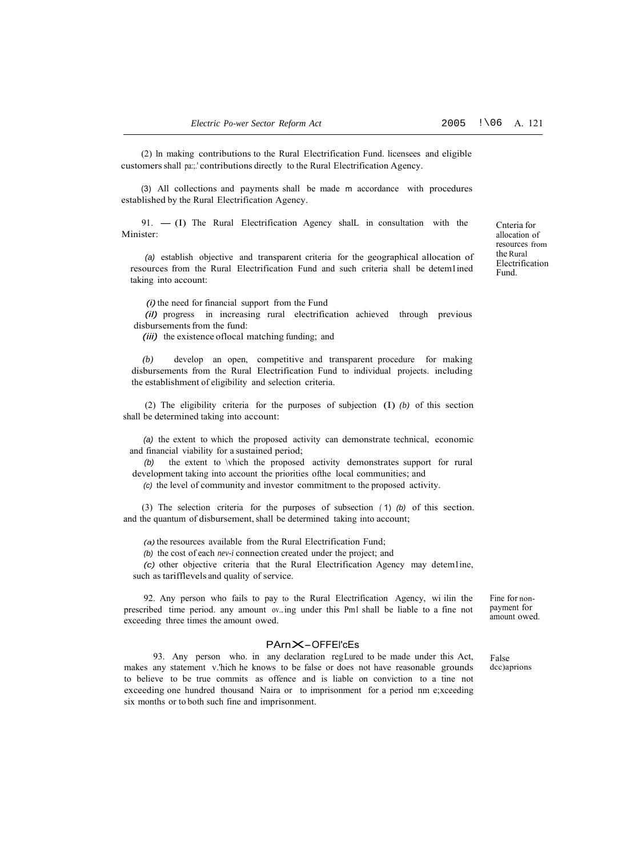(2) ln making contributions to the Rural Electrification Fund. licensees and eligible customers shall pa:;.' contributions directly to the Rural Electrification Agency.

(3) All collections and payments shall be made m accordance with procedures established by the Rural Electrification Agency.

 $91. - (I)$  The Rural Electrification Agency shall in consultation with the Minister:

*(a)* establish objective and transparent criteria for the geographical allocation of resources from the Rural Electrification Fund and such criteria shall be detem1ined taking into account:

*(i)* the need for financial support from the Fund

*(il)* progress in increasing rural electrification achieved through previous disbursements from the fund:

*(iii)* the existence oflocal matching funding; and

*(b)* develop an open, competitive and transparent procedure for making disbursements from the Rural Electrification Fund to individual projects. including the establishment of eligibility and selection criteria.

(2) The eligibility criteria for the purposes of subjection (I) *(b)* of this section shall be determined taking into account:

*(a)* the extent to which the proposed activity can demonstrate technical, economic and financial viability for a sustained period;

*(b)* the extent to \vhich the proposed activity demonstrates support for rural development taking into account the priorities ofthe local communities; and

*(c)* the level of community and investor commitment to the proposed activity.

(3) The selection criteria for the purposes of subsection *(* 1) *(b)* of this section. and the quantum of disbursement, shall be determined taking into account;

*(a)* the resources available from the Rural Electrification Fund;

*(b)* the cost of each *nev-i* connection created under the project; and

*(c)* other objective criteria that the Rural Electrification Agency may detem1ine, such as tarifflevels and quality of service.

92. Any person who fails to pay to the Rural Electrification Agency, wi ilin the prescribed time period. any amount ov...ing under this Pm1 shall be liable to a fine not exceeding three times the amount owed.

#### PArnX-OFFEl'cEs

93. Any person who. in any declaration reg Lured to be made under this Act, makes any statement v.'hich he knows to be false or does not have reasonable grounds to believe to be true commits as offence and is liable on conviction to a tine not exceeding one hundred thousand Naira or to imprisonment for a period nm e;xceeding six months or to both such fine and imprisonment.

Fine for nonpayment for amount owed.

False dcc)aprions

Cnteria for allocation of resources from the Rural Electrification Fund.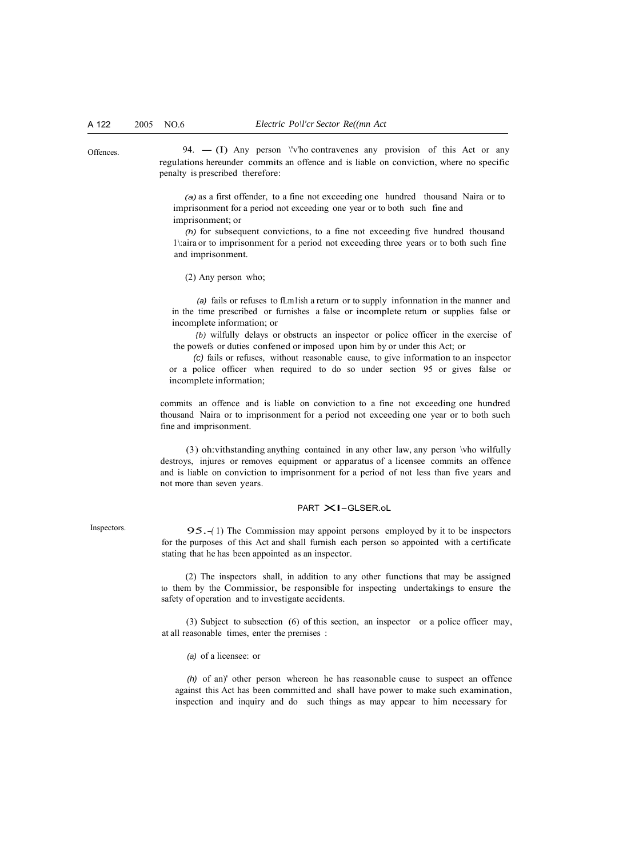Offences. 94.  $- (I)$  Any person \'v'ho contravenes any provision of this Act or any regulations hereunder commits an offence and is liable on conviction, where no specific penalty is prescribed therefore:

> *(a)* as a first offender, to a fine not exceeding one hundred thousand Naira or to imprisonment for a period not exceeding one year or to both such fine and imprisonment; or

> *(h)* for subsequent convictions, to a fine not exceeding five hundred thousand 1\:aira or to imprisonment for a period not exceeding three years or to both such fine and imprisonment.

(2) Any person who;

*(a)* fails or refuses to fLm1ish a return or to supply infonnation in the manner and in the time prescribed or furnishes a false or incomplete return or supplies false or incomplete information; or

*{b)* wilfully delays or obstructs an inspector or police officer in the exercise of the powefs or duties confened or imposed upon him by or under this Act; or

*(c)* fails or refuses, without reasonable cause, to give information to an inspector or a police officer when required to do so under section 95 or gives false or incomplete information;

commits an offence and is liable on conviction to a fine not exceeding one hundred thousand Naira or to imprisonment for a period not exceeding one year or to both such fine and imprisonment.

(3 ) oh:vithstanding anything contained in any other law, any person \vho wilfully destroys, injures or removes equipment or apparatus of a licensee commits an offence and is liable on conviction to imprisonment for a period of not less than five years and not more than seven years.

#### PART  $\times$ I-GLSER.oL

Inspectors. 95.-(1) The Commission may appoint persons employed by it to be inspectors for the purposes of this Act and shall furnish each person so appointed with a certificate stating that he has been appointed as an inspector.

> (2) The inspectors shall, in addition to any other functions that may be assigned to them by the Commissior, be responsible for inspecting undertakings to ensure the safety of operation and to investigate accidents.

> (3) Subject to subsection (6) of this section, an inspector or a police officer may, at all reasonable times, enter the premises :

*(a)* of a licensee: or

*(h)* of an)' other person whereon he has reasonable cause to suspect an offence against this Act has been committed and shall have power to make such examination, inspection and inquiry and do such things as may appear to him necessary for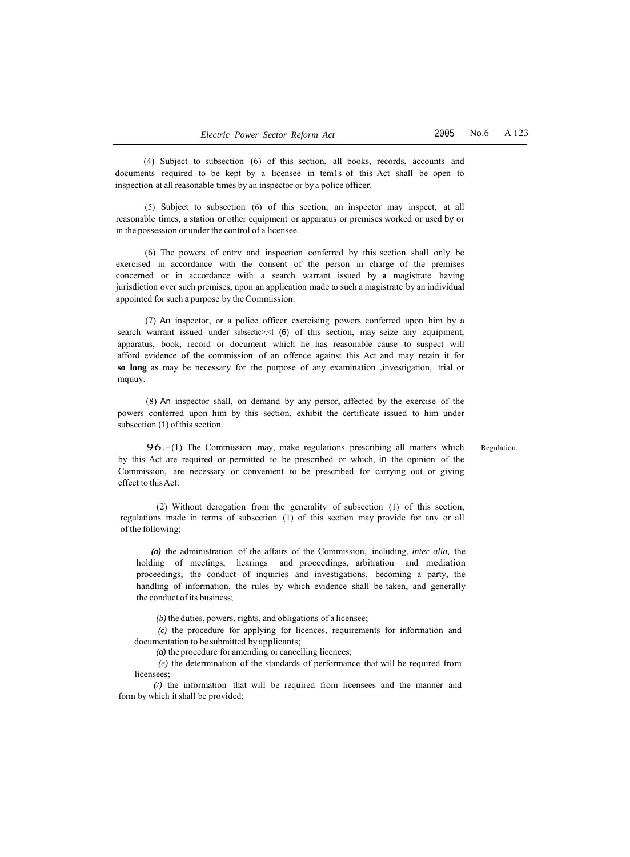(4) Subject to subsection (6) of this section, all books, records, accounts and documents required to be kept by a licensee in tem1s of this Act shall be open to inspection at all reasonable times by an inspector or by a police officer.

(5) Subject to subsection (6) of this section, an inspector may inspect, at all reasonable times, a station or other equipment or apparatus or premises worked or used by or in the possession or under the control of a licensee.

(6) The powers of entry and inspection conferred by this section shall only be exercised in accordance with the consent of the person in charge of the premises concerned or in accordance with a search warrant issued by **a** magistrate having jurisdiction over such premises, upon an application made to such a magistrate by an individual appointed for such a purpose by the Commission.

(7) An inspector, or a police officer exercising powers conferred upon him by a search warrant issued under subsectic>.<l (6) of this section, may seize any equipment, apparatus, book, record or document which he has reasonable cause to suspect will afford evidence of the commission of an offence against this Act and may retain it for **so long** as may be necessary for the purpose of any examination ,investigation, trial or mquuy.

(8) An inspector shall, on demand by any persor, affected by the exercise of the powers conferred upon him by this section, exhibit the certificate issued to him under subsection (1) of this section.

Regulation.

96.- (1) The Commission may, make regulations prescribing all matters which by this Act are required or permitted to be prescribed or which, in the opinion of the Commission, are necessary or convenient to be prescribed for carrying out or giving effect to this Act.

(2) Without derogation from the generality of subsection (1) of this section, regulations made in terms of subsection (1) of this section may provide for any or all of the following;

*(a)* the administration of the affairs of the Commission, including, *inter alia,* the holding of meetings, hearings and proceedings, arbitration and mediation proceedings, the conduct of inquiries and investigations, becoming a party, the handling of information, the rules by which evidence shall be taken, and generally the conduct of its business;

*(b)* the duties, powers, rights, and obligations of a licensee;

*(c)* the procedure for applying for licences, requirements for information and documentation to be submitted by applicants;

*(d)* the procedure for amending or cancelling licences;

*(e)* the determination of the standards of performance that will be required from licensees;

*(/)* the information that will be required from licensees and the manner and form by which it shall be provided;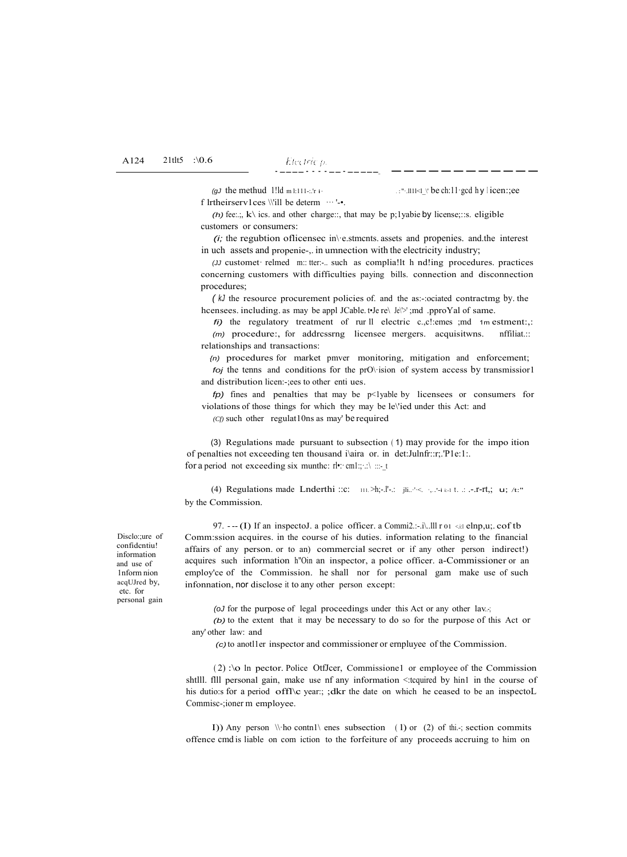*(gJ* the methud 1!ld m l:111-:.'r i·  $\cdots$  ...  $\cdots$  ...  $\cdots$  ...  $\cdots$  in  $\cdots$  be ch:11·gcd h y l icen:;ee

f lrtheirserv1ces \\'ill be determ  $\cdots$ '-•.

*(h)* fee:.;,  $k\$  ics. and other charge::, that may be p;1yabie by license;::s. eligible customers or consumers:

*(i;* the regubtion oflicensec in\·e.stmcnts. assets and propenies. and.the interest in uch assets and propenie-,. in umnection with the electricity industry;

*(JJ* customet· relmed m:: tter:-.. such as complia!lt h nd!ing procedures. practices concerning customers with difficulties paying bills. connection and disconnection procedures;

*( kJ* the resource procurement policies of. and the as:-:ociated contractmg by. the hcensees. including. as may be appl JCable. t•Je re\ Je\'>' ;md .pproYal of same.

*fi)* the regulatory treatment of rur ll electric c.,c!:emes ;md 1m estment:,: *(m)* procedure:, for addressrng licensee mergers. acquisitwns. nffiliat.:: relationships and transactions:

*{n)* procedures for market pmver monitoring, mitigation and enforcement; *foj* the tenns and conditions for the prO\·ision of system access by transmissior1 and distribution licen:-;ees to other enti ues.

*fp*) fines and penalties that may be p<1yable by licensees or consumers for violations of those things for which they may be le\'ied under this Act: and

*(Cf)* such other regulat10ns as may' be required

(3) Regulations made pursuant to subsection ( 1) may provide for the impo ition of penalties not exceeding ten thousand i\aira or. in det:Julnfr::r;.'P1e:1:. for a period not exceeding six munthc:  $r \cdot | \cdot |$ : cm1:; ::\ :::- t

(4) Regulations made Lnderthi ::c: 111. >h;-.l'-.: jli....'<. ....-ii:-1 t. .: ..-.r-rt,; u; /t:" by the Commission.

97. --- (I) If an inspectoJ. a police officer. a Commi2.:-.i\..!!! r  $01 \le$ i:! elnp,u;. cof tb Comm:ssion acquires. in the course of his duties. information relating to the financial affairs of any person. or to an) commercial secret or if any other person indirect!) acquires such information h"Oin an inspector, a police officer. a-Commissioner or an employ'ce of the Commission. he shall nor for personal gam make use of such infonnation, nor disclose it to any other person except:

*(oJ* for the purpose of legal proceedings under this Act or any other lav...;

*(b)* to the extent that it may be necessary to do so for the purpose of this Act or any' other law: and

*(c)* to anotl1er inspector and commissioner or ernpluyee of the Commission.

( 2) :\o ln pector. Police OtfJcer, Commissione1 or employee of the Commission shtlll. flll personal gain, make use nf any information <:tcquired by hin1 in the course of his dutio:s for a period offl $\operatorname{C}$  year:; ;dkr the date on which he ceased to be an inspectoL Commisc-;ioner m employee.

I)) Any person  $\setminus \$ ho contn1 $\setminus$  enes subsection (1) or (2) of thi.-; section commits offence cmd is liable on com iction to the forfeiture of any proceeds accruing to him on

Disclo::ure of confidcntiu! information and use of 1nform nion acqUJred by, etc. for personal gain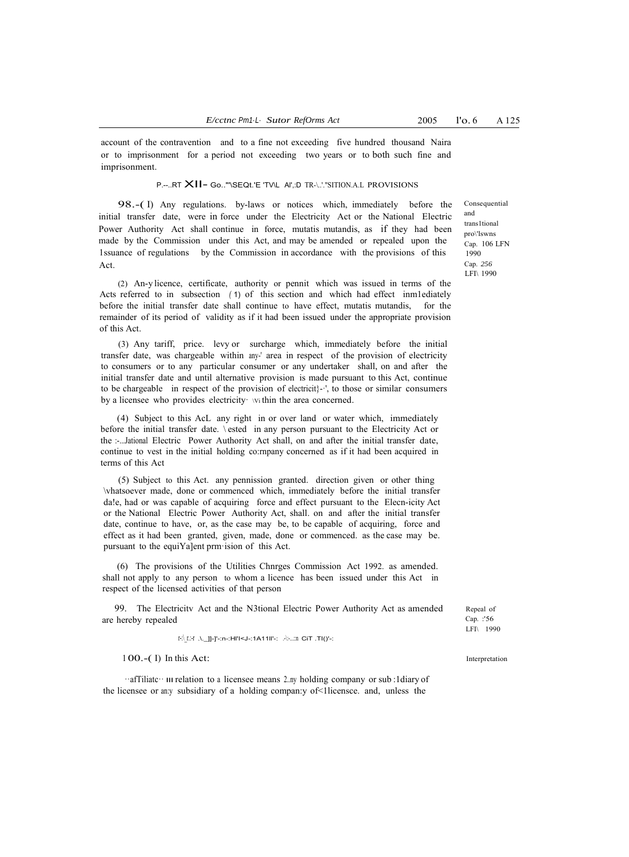account of the contravention and to a fine not exceeding five hundred thousand Naira or to imprisonment for a period not exceeding two years or to both such fine and imprisonment.

P.--..RT XII- Go.."'\SEQt.'E 'TV\L Al',:D TR-\..'."SITION.A.L PROVISIONS

98.-( I) Any regulations. by-laws or notices which, immediately before the initial transfer date, were in force under the Electricity Act or the National Electric Power Authority Act shall continue in force, mutatis mutandis, as if they had been made by the Commission under this Act, and may be amended or repealed upon the 1ssuance of regulations by the Commission in accordance with the provisions of this Act.

(2) An-y licence, certificate, authority or pennit which was issued in terms of the Acts referred to in subsection *(* 1) of this section and which had effect inm1ediately before the initial transfer date shall continue to have effect, mutatis mutandis, for the remainder of its period of validity as if it had been issued under the appropriate provision of this Act.

(3) Any tariff, price. levy or surcharge which, immediately before the initial transfer date, was chargeable within any-' area in respect of the provision of electricity to consumers or to any particular consumer or any undertaker shall, on and after the initial transfer date and until alternative provision is made pursuant to this Act, continue to be chargeable in respect of the provision of electricit $\cdot$ - $\cdot$ , to those or similar consumers by a licensee who provides electricity vithin the area concerned.

(4) Subject to this AcL any right in or over land or water which, immediately before the initial transfer date. \ ested in any person pursuant to the Electricity Act or the :-...Jational Electric Power Authority Act shall, on and after the initial transfer date, continue to vest in the initial holding co:rnpany concerned as if it had been acquired in terms of this Act

(5) Subject to this Act. any pennission granted. direction given or other thing \vhatsoever made, done or commenced which, immediately before the initial transfer da!e, had or was capable of acquiring force and effect pursuant to the Elecn-icity Act or the National Electric Power Authority Act, shall. on and after the initial transfer date, continue to have, or, as the case may be, to be capable of acquiring, force and effect as it had been granted, given, made, done or commenced. as the case may be. pursuant to the equiYa]ent prm·ision of this Act.

(6) The provisions of the Utilities Chnrges Commission Act 1992. as amended. shall not apply to any person to whom a licence has been issued under this Act in respect of the licensed activities of that person

99. The Electricitv Act and the N3tional Electric Power Authority Act as amended are hereby repealed

 $\label{eq:1} \begin{split} \mathrm{F}(\underline{\mathrm{I}}\mathcal{A}\cdot\underline{\mathrm{I}})-\mathrm{I}^{\mathrm{I}}\mathcal{A}\cdot\underline{\mathrm{I}}+\mathrm{I}^{\mathrm{I}}\mathcal{A}\cdot\underline{\mathrm{I}}+\mathrm{I}^{\mathrm{I}}\mathcal{A}\cdot\underline{\mathrm{I}}+\mathrm{I}^{\mathrm{I}}\mathcal{A}\cdot\underline{\mathrm{I}}+\mathrm{I}^{\mathrm{I}}\mathcal{A}\cdot\underline{\mathrm{I}}+\mathrm{I}^{\mathrm{I}}\mathcal{A})\cdot\underline{\mathrm{I}}+\mathrm{I}^{\mathrm{I}}\mathcal{A}\cdot\underline{\mathrm{I}}+\mathrm{I}$ 

<sup>1</sup> 00.-( I) In this Act:

··afTiliatc·· Ill relation to a licensee means 2..ny holding company or sub :1diary of the licensee or an:y subsidiary of a holding compan:y of<1licensce. and, unless the

Consequential and trans1tional pro\'lswns Cap. 106 LFN 1990 Cap. *256* LFI\ 1990

Repeal of Cap. :'56 LFI\ 1990

Interpretation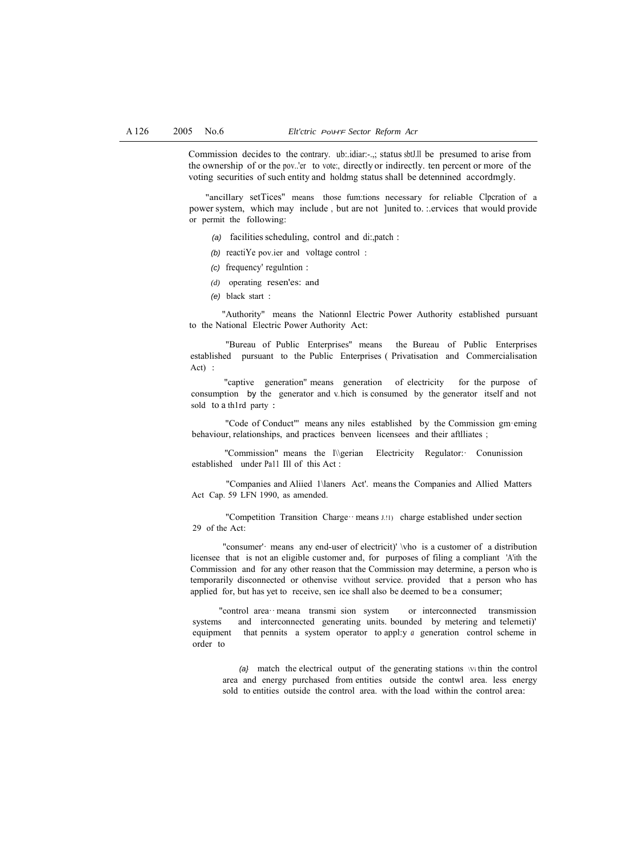Commission decides to the contrary. ub:.idiar:-.,; status sbtJ.ll be presumed to arise from the ownership of or the pov..'er to vote:, directly or indirectly. ten percent or more of the voting securities of such entity and holdmg status shall be detennined accordmgly.

"ancillary setTices'' means those fum:tions necessary for reliable Clpcration of a power system, which may include , but are not ]united to. :.ervices that would provide or permit the following:

- *(a)* facilities scheduling, control and di:,patch :
- *(b)* reactiYe pov.ier and voltage control :
- *(c)* frequency' regulntion :
- *(d)* operating resen'es: and
- *(e)* black start :

"Authority" means the Nationnl Electric Power Authority established pursuant to the National Electric Power Authority Act:

"Bureau of Public Enterprises'' means the Bureau of Public Enterprises established pursuant to the Public Enterprises ( Privatisation and Commercialisation Act) :

"captive generation'' means generation of electricity for the purpose of consumption by the generator and  $v$  hich is consumed by the generator itself and not sold to a th1rd party :

"Code of Conduct"' means any niles established by the Commission gm·eming behaviour, relationships, and practices benveen licensees and their aftlliates ;

"Commission" means the l\\gerian Electricity Regulator:· Conunission established under Pa11 Ill of this Act :

"Companies and Aliied 1\laners Act'. means the Companies and Allied Matters Act Cap. 59 LFN 1990, as amended.

"Competition Transition Charge… means J.!!) charge established under section 29 of the Act:

"consumer'· means any end-user of electricit)' \vho is a customer of a distribution licensee that is not an eligible customer and, for purposes of filing a compliant 'A'ith the Commission and for any other reason that the Commission may determine, a person who is temporarily disconnected or othenvise vvithout service. provided that a person who has applied for, but has yet to receive, sen ice shall also be deemed to be a consumer;

"control area·· meana transmi sion system or interconnected transmission systems and interconnected generating units. bounded by metering and telemeti)' equipment that pennits a system operator to appl:y *a* generation control scheme in order to

*(a}* match the electrical output of the generating stations \Vi thin the control area and energy purchased from entities outside the contwl area. less energy sold to entities outside the control area. with the load within the control area: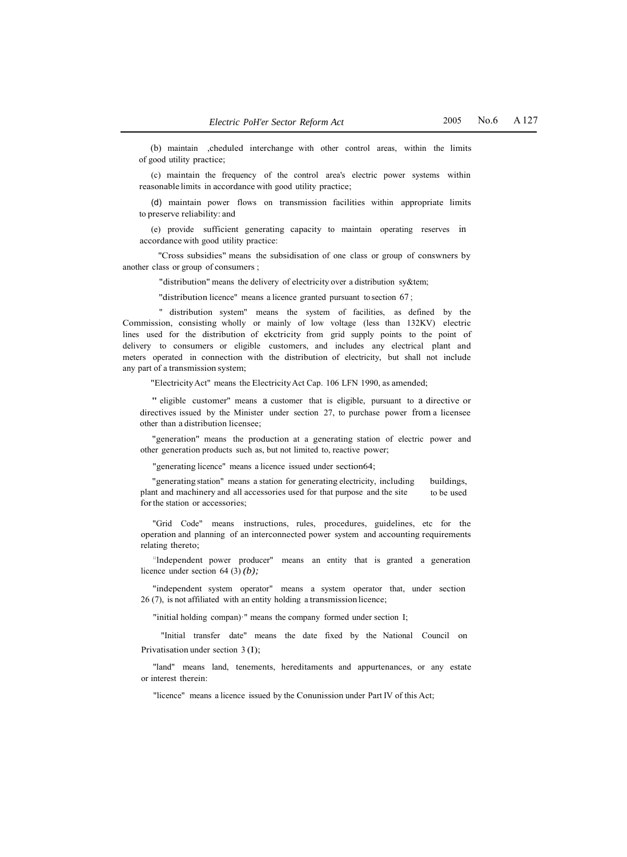(b) maintain ,cheduled interchange with other control areas, within the limits of good utility practice;

(c) maintain the frequency of the control area's electric power systems within reasonable limits in accordance with good utility practice;

(d) maintain power flows on transmission facilities within appropriate limits to preserve reliability: and

(e) provide sufficient generating capacity to maintain operating reserves in accordance with good utility practice:

''Cross subsidies" means the subsidisation of one class or group of conswners by another class or group of consumers ;

"distribution" means the delivery of electricity over a distribution sy&tem;

"distribution licence" means a licence granted pursuant to section 67 ;

" distribution system" means the system of facilities, as defined by the Commission, consisting wholly or mainly of low voltage (less than 132KV) electric lines used for the distribution of ekctricity from grid supply points to the point of delivery to consumers or eligible customers, and includes any electrical plant and meters operated in connection with the distribution of electricity, but shall not include any part of a transmission system;

"Electricity Act" means the Electricity Act Cap. 106 LFN 1990, as amended;

" eligible customer'' means a customer that is eligible, pursuant to a directive or directives issued by the Minister under section 27, to purchase power from a licensee other than a distribution licensee;

"generation" means the production at a generating station of electric power and other generation products such as, but not limited to, reactive power;

"generating licence" means a licence issued under section64;

"generating station" means a station for generating electricity, including plant and machinery and all accessories used for that purpose and the site for the station or accessories; buildings, to be used

"Grid Code" means instructions, rules, procedures, guidelines, etc for the operation and planning of an interconnected power system and accounting requirements relating thereto;

<sup>11</sup> Independent power producer" means an entity that is granted a generation licence under section 64 (3) *(b);*

"independent system operator" means a system operator that, under section 26 (7), is not affiliated with an entity holding a transmission licence;

"initial holding compan)·" means the company formed under section I;

"Initial transfer date" means the date fixed by the National Council on Privatisation under section 3 (I);

"land" means land, tenements, hereditaments and appurtenances, or any estate or interest therein:

"licence" means a licence issued by the Conunission under Part IV of this Act;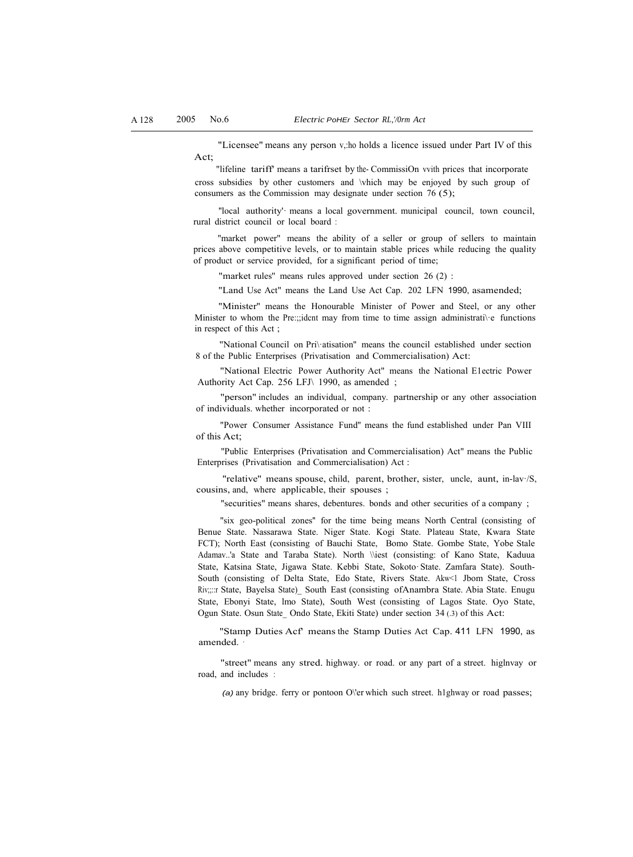Act; "Licensee" means any person v,:ho holds a licence issued under Part IV of this

"lifeline tariff' means a tarifrset by the- CommissiOn vvith prices that incorporate cross subsidies by other customers and \vhich may be enjoyed by such group of consumers as the Commission may designate under section 76 (5);

"local authority' means a local government. municipal council, town council, rural district council or local board :

"market power" means the ability of a seller or group of sellers to maintain prices above competitive levels, or to maintain stable prices while reducing the quality of product or service provided, for a significant period of time;

"market rules'' means rules approved under section 26 (2) :

"Land Use Act" means the Land Use Act Cap. 202 LFN 1990, asamended;

"Minister'' means the Honourable Minister of Power and Steel, or any other Minister to whom the Pre:;;ident may from time to time assign administrative functions in respect of this Act ;

"National Council on Pri\·atisation'' means the council established under section 8 of the Public Enterprises (Privatisation and Commercialisation) Act:

"National Electric Power Authority Act" means the National E1ectric Power Authority Act Cap. 256 LFJ\ 1990, as amended ;

"person" includes an individual, company. partnership or any other association of individuals. whether incorporated or not :

"Power Consumer Assistance Fund'' means the fund established under Pan VIII of this Act;

"Public Enterprises (Privatisation and Commercialisation) Act" means the Public Enterprises (Privatisation and Commercialisation) Act :

"relative'' means spouse, child, parent, brother, sister, uncle, aunt, in-lav·/S, cousins, and, where applicable, their spouses ;

''securities" means shares, debentures. bonds and other securities of a company ;

"six geo-political zones'' for the time being means North Central (consisting of Benue State. Nassarawa State. Niger State. Kogi State. Plateau State, Kwara State FCT); North East (consisting of Bauchi State, Bomo State. Gombe State, Yobe Stale Adamav..'a State and Taraba State). North \\iest (consisting: of Kano State, Kaduua State, Katsina State, Jigawa State. Kebbi State, Sokoto· State. Zamfara State). South-South (consisting of Delta State, Edo State, Rivers State. Akw<1 Jbom State, Cross Riv;;::r State, Bayelsa State)\_ South East (consisting ofAnambra State. Abia State. Enugu State, Ebonyi State, lmo State), South West (consisting of Lagos State. Oyo State, Ogun State. Osun State\_ Ondo State, Ekiti State) under section 34 (.3) of this Act:

''Stamp Duties Acf' means the Stamp Duties Act Cap. 411 LFN 1990, as amended. ·

"street" means any stred. highway. or road. or any part of a street. higlnvay or road, and includes :

*(a)* any bridge. ferry or pontoon O\'er which such street. h1ghway or road passes;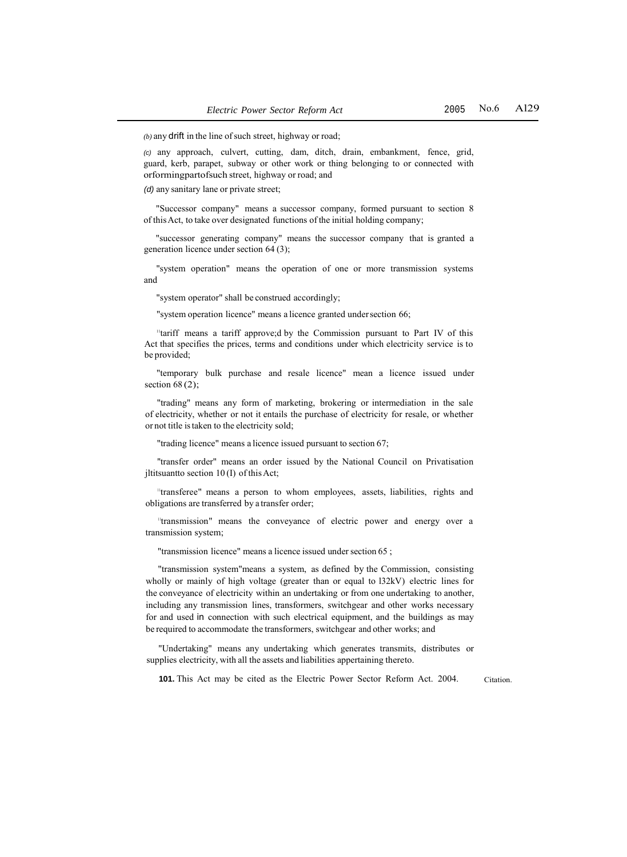*(b)* any drift in the line of such street, highway or road;

*(c)* any approach, culvert, cutting, dam, ditch, drain, embankment, fence, grid, guard, kerb, parapet, subway or other work or thing belonging to or connected with orformingpartofsuch street, highway or road; and

*(d)* any sanitary lane or private street;

"Successor company" means a successor company, formed pursuant to section 8 of this Act, to take over designated functions of the initial holding company;

"successor generating company" means the successor company that is granted a generation licence under section 64 (3);

"system operation" means the operation of one or more transmission systems and

"system operator" shall be construed accordingly;

"system operation licence" means a licence granted under section 66;

<sup>11</sup>tariff means a tariff approve;d by the Commission pursuant to Part IV of this Act that specifies the prices, terms and conditions under which electricity service is to be provided;

"temporary bulk purchase and resale licence" mean a licence issued under section  $68(2)$ ;

"trading" means any form of marketing, brokering or intermediation in the sale of electricity, whether or not it entails the purchase of electricity for resale, or whether or not title istaken to the electricity sold;

"trading licence" means a licence issued pursuant to section 67;

"transfer order" means an order issued by the National Council on Privatisation jltitsuantto section 10 (I) of this Act;

"transferee" means a person to whom employees, assets, liabilities, rights and obligations are transferred by a transfer order;

"transmission" means the conveyance of electric power and energy over a transmission system;

"transmission licence" means a licence issued under section 65 ;

"transmission system"means a system, as defined by the Commission, consisting wholly or mainly of high voltage (greater than or equal to l32kV) electric lines for the conveyance of electricity within an undertaking or from one undertaking to another, including any transmission lines, transformers, switchgear and other works necessary for and used in connection with such electrical equipment, and the buildings as may be required to accommodate the transformers, switchgear and other works; and

"Undertaking" means any undertaking which generates transmits, distributes or supplies electricity, with all the assets and liabilities appertaining thereto.

**101.** This Act may be cited as the Electric Power Sector Reform Act. 2004. Citation.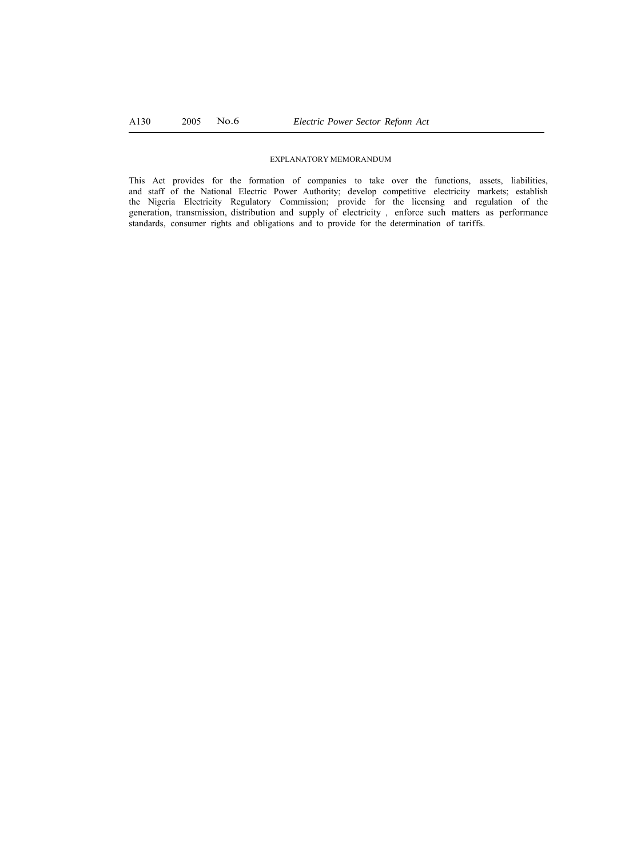#### EXPLANATORY MEMORANDUM

This Act provides for the formation of companies to take over the functions, assets, liabilities, and staff of the National Electric Power Authority; develop competitive electricity markets; establish the Nigeria Electricity Regulatory Commission; provide for the licensing and regulation of the generation, transmission, distribution and supply of electricity , enforce such matters as performance standards, consumer rights and obligations and to provide for the determination of tariffs.